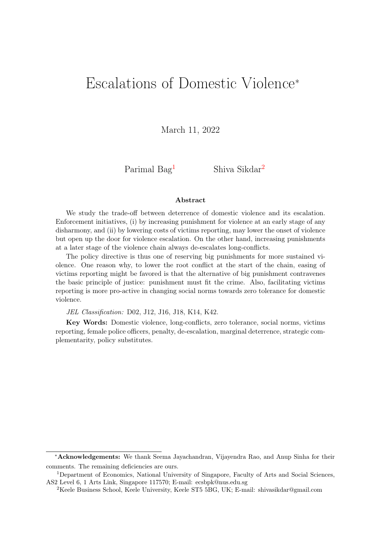# <span id="page-0-0"></span>Escalations of Domestic Violence<sup>∗</sup>

March 11, 2022

Parimal  $Bag<sup>1</sup>$  Shiva Sikdar<sup>2</sup>

#### Abstract

We study the trade-off between deterrence of domestic violence and its escalation. Enforcement initiatives, (i) by increasing punishment for violence at an early stage of any disharmony, and (ii) by lowering costs of victims reporting, may lower the onset of violence but open up the door for violence escalation. On the other hand, increasing punishments at a later stage of the violence chain always de-escalates long-conflicts.

The policy directive is thus one of reserving big punishments for more sustained violence. One reason why, to lower the root conflict at the start of the chain, easing of victims reporting might be favored is that the alternative of big punishment contravenes the basic principle of justice: punishment must fit the crime. Also, facilitating victims reporting is more pro-active in changing social norms towards zero tolerance for domestic violence.

JEL Classification: D02, J12, J16, J18, K14, K42.

Key Words: Domestic violence, long-conflicts, zero tolerance, social norms, victims reporting, female police officers, penalty, de-escalation, marginal deterrence, strategic complementarity, policy substitutes.

<sup>∗</sup>Acknowledgements: We thank Seema Jayachandran, Vijayendra Rao, and Anup Sinha for their comments. The remaining deficiencies are ours.

<sup>1</sup>Department of Economics, National University of Singapore, Faculty of Arts and Social Sciences, AS2 Level 6, 1 Arts Link, Singapore 117570; E-mail: ecsbpk@nus.edu.sg

<sup>2</sup>Keele Business School, Keele University, Keele ST5 5BG, UK; E-mail: shivasikdar@gmail.com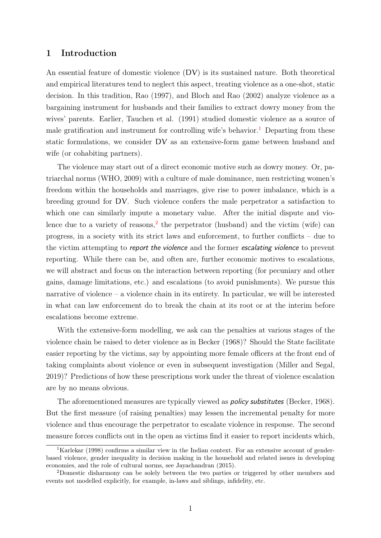## 1 Introduction

An essential feature of domestic violence (DV) is its sustained nature. Both theoretical and empirical literatures tend to neglect this aspect, treating violence as a one-shot, static decision. In this tradition, Rao (1997), and Bloch and Rao (2002) analyze violence as a bargaining instrument for husbands and their families to extract dowry money from the wives' parents. Earlier, Tauchen et al. (1991) studied domestic violence as a source of male gratification and instrument for controlling wife's behavior.<sup>[1](#page-0-0)</sup> Departing from these static formulations, we consider DV as an extensive-form game between husband and wife (or cohabiting partners).

The violence may start out of a direct economic motive such as dowry money. Or, patriarchal norms (WHO, 2009) with a culture of male dominance, men restricting women's freedom within the households and marriages, give rise to power imbalance, which is a breeding ground for DV. Such violence confers the male perpetrator a satisfaction to which one can similarly impute a monetary value. After the initial dispute and vio-lence due to a variety of reasons,<sup>[2](#page-0-0)</sup> the perpetrator (husband) and the victim (wife) can progress, in a society with its strict laws and enforcement, to further conflicts – due to the victim attempting to report the violence and the former escalating violence to prevent reporting. While there can be, and often are, further economic motives to escalations, we will abstract and focus on the interaction between reporting (for pecuniary and other gains, damage limitations, etc.) and escalations (to avoid punishments). We pursue this narrative of violence – a violence chain in its entirety. In particular, we will be interested in what can law enforcement do to break the chain at its root or at the interim before escalations become extreme.

With the extensive-form modelling, we ask can the penalties at various stages of the violence chain be raised to deter violence as in Becker (1968)? Should the State facilitate easier reporting by the victims, say by appointing more female officers at the front end of taking complaints about violence or even in subsequent investigation (Miller and Segal, 2019)? Predictions of how these prescriptions work under the threat of violence escalation are by no means obvious.

The aforementioned measures are typically viewed as *policy substitutes* (Becker, 1968). But the first measure (of raising penalties) may lessen the incremental penalty for more violence and thus encourage the perpetrator to escalate violence in response. The second measure forces conflicts out in the open as victims find it easier to report incidents which,

<sup>&</sup>lt;sup>1</sup>Karlekar (1998) confirms a similar view in the Indian context. For an extensive account of genderbased violence, gender inequality in decision making in the household and related issues in developing economies, and the role of cultural norms, see Jayachandran (2015).

<sup>2</sup>Domestic disharmony can be solely between the two parties or triggered by other members and events not modelled explicitly, for example, in-laws and siblings, infidelity, etc.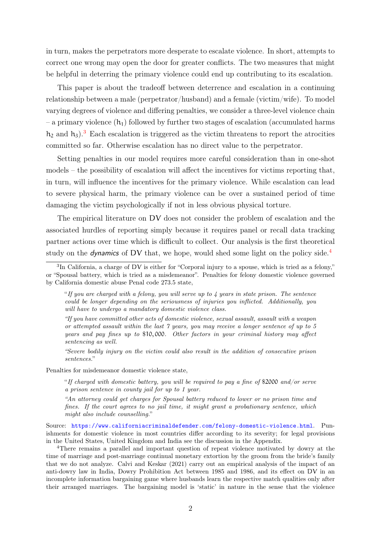in turn, makes the perpetrators more desperate to escalate violence. In short, attempts to correct one wrong may open the door for greater conflicts. The two measures that might be helpful in deterring the primary violence could end up contributing to its escalation.

This paper is about the tradeoff between deterrence and escalation in a continuing relationship between a male (perpetrator/husband) and a female (victim/wife). To model varying degrees of violence and differing penalties, we consider a three-level violence chain – a primary violence  $(h_1)$  followed by further two stages of escalation (accumulated harms  $h_2$  and  $h_3$  $h_3$ ).<sup>3</sup> Each escalation is triggered as the victim threatens to report the atrocities committed so far. Otherwise escalation has no direct value to the perpetrator.

Setting penalties in our model requires more careful consideration than in one-shot models – the possibility of escalation will affect the incentives for victims reporting that, in turn, will influence the incentives for the primary violence. While escalation can lead to severe physical harm, the primary violence can be over a sustained period of time damaging the victim psychologically if not in less obvious physical torture.

The empirical literature on DV does not consider the problem of escalation and the associated hurdles of reporting simply because it requires panel or recall data tracking partner actions over time which is difficult to collect. Our analysis is the first theoretical study on the *dynamics* of DV that, we hope, would shed some light on the policy side.<sup>[4](#page-0-0)</sup>

"Severe bodily injury on the victim could also result in the addition of consecutive prison sentences."

Penalties for misdemeanor domestic violence state,

"If charged with domestic battery, you will be required to pay a fine of \$2000 and/or serve a prison sentence in county jail for up to 1 year.

"An attorney could get charges for Spousal battery reduced to lower or no prison time and fines. If the court agrees to no jail time, it might grant a probationary sentence, which might also include counselling."

Source: <https://www.californiacriminaldefender.com/felony-domestic-violence.html>. Punishments for domestic violence in most countries differ according to its severity; for legal provisions in the United States, United Kingdom and India see the discussion in the Appendix.

<sup>4</sup>There remains a parallel and important question of repeat violence motivated by dowry at the time of marriage and post-marriage continual monetary extortion by the groom from the bride's family that we do not analyze. Calvi and Keskar (2021) carry out an empirical analysis of the impact of an anti-dowry law in India, Dowry Prohibition Act between 1985 and 1986, and its effect on DV in an incomplete information bargaining game where husbands learn the respective match qualities only after their arranged marriages. The bargaining model is 'static' in nature in the sense that the violence

<sup>&</sup>lt;sup>3</sup>In California, a charge of DV is either for "Corporal injury to a spouse, which is tried as a felony," or "Spousal battery, which is tried as a misdemeanor". Penalties for felony domestic violence governed by California domestic abuse Penal code 273.5 state,

<sup>&</sup>quot;If you are charged with a felony, you will serve up to 4 years in state prison. The sentence could be longer depending on the seriousness of injuries you inflicted. Additionally, you will have to undergo a mandatory domestic violence class.

<sup>&</sup>quot;If you have committed other acts of domestic violence, sexual assault, assault with a weapon or attempted assault within the last 7 years, you may receive a longer sentence of up to 5 years and pay fines up to \$10, 000. Other factors in your criminal history may affect sentencing as well.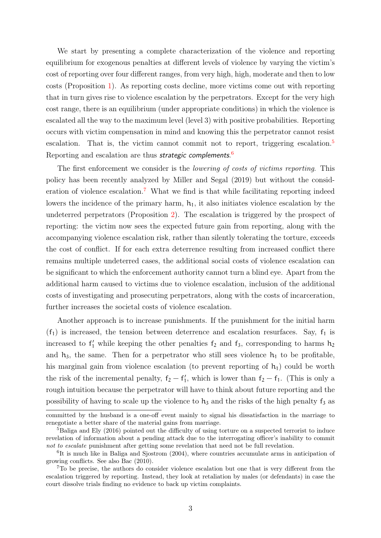We start by presenting a complete characterization of the violence and reporting equilibrium for exogenous penalties at different levels of violence by varying the victim's cost of reporting over four different ranges, from very high, high, moderate and then to low costs (Proposition [1\)](#page-18-0). As reporting costs decline, more victims come out with reporting that in turn gives rise to violence escalation by the perpetrators. Except for the very high cost range, there is an equilibrium (under appropriate conditions) in which the violence is escalated all the way to the maximum level (level 3) with positive probabilities. Reporting occurs with victim compensation in mind and knowing this the perpetrator cannot resist escalation. That is, the victim cannot commit not to report, triggering escalation.<sup>[5](#page-0-0)</sup> Reporting and escalation are thus *strategic complements*.<sup>[6](#page-0-0)</sup>

The first enforcement we consider is the *lowering of costs of victims reporting*. This policy has been recently analyzed by Miller and Segal (2019) but without the consid-eration of violence escalation.<sup>[7](#page-0-0)</sup> What we find is that while facilitating reporting indeed lowers the incidence of the primary harm,  $h_1$ , it also initiates violence escalation by the undeterred perpetrators (Proposition [2\)](#page-21-0). The escalation is triggered by the prospect of reporting: the victim now sees the expected future gain from reporting, along with the accompanying violence escalation risk, rather than silently tolerating the torture, exceeds the cost of conflict. If for each extra deterrence resulting from increased conflict there remains multiple undeterred cases, the additional social costs of violence escalation can be significant to which the enforcement authority cannot turn a blind eye. Apart from the additional harm caused to victims due to violence escalation, inclusion of the additional costs of investigating and prosecuting perpetrators, along with the costs of incarceration, further increases the societal costs of violence escalation.

Another approach is to increase punishments. If the punishment for the initial harm  $(f_1)$  is increased, the tension between deterrence and escalation resurfaces. Say,  $f_1$  is increased to  $f'_1$  while keeping the other penalties  $f_2$  and  $f_3$ , corresponding to harms  $h_2$ and  $h_3$ , the same. Then for a perpetrator who still sees violence  $h_1$  to be profitable, his marginal gain from violence escalation (to prevent reporting of  $h_1$ ) could be worth the risk of the incremental penalty,  $f_2 - f'_1$ , which is lower than  $f_2 - f_1$ . (This is only a rough intuition because the perpetrator will have to think about future reporting and the possibility of having to scale up the violence to  $h_3$  and the risks of the high penalty  $f_3$  as

committed by the husband is a one-off event mainly to signal his dissatisfaction in the marriage to renegotiate a better share of the material gains from marriage.

<sup>&</sup>lt;sup>5</sup>Baliga and Ely (2016) pointed out the difficulty of using torture on a suspected terrorist to induce revelation of information about a pending attack due to the interrogating officer's inability to commit not to escalate punishment after getting some revelation that need not be full revelation.

<sup>&</sup>lt;sup>6</sup>It is much like in Baliga and Sjostrom (2004), where countries accumulate arms in anticipation of growing conflicts. See also Bac (2010).

<sup>7</sup>To be precise, the authors do consider violence escalation but one that is very different from the escalation triggered by reporting. Instead, they look at retaliation by males (or defendants) in case the court dissolve trials finding no evidence to back up victim complaints.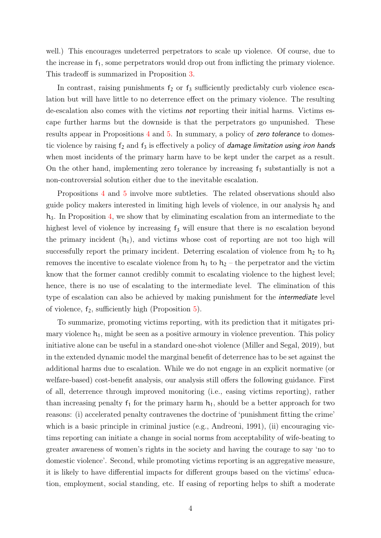well.) This encourages undeterred perpetrators to scale up violence. Of course, due to the increase in  $f_1$ , some perpetrators would drop out from inflicting the primary violence. This tradeoff is summarized in Proposition [3.](#page-22-0)

In contrast, raising punishments  $f_2$  or  $f_3$  sufficiently predictably curb violence escalation but will have little to no deterrence effect on the primary violence. The resulting de-escalation also comes with the victims not reporting their initial harms. Victims escape further harms but the downside is that the perpetrators go unpunished. These results appear in Propositions [4](#page-25-0) and [5.](#page-26-0) In summary, a policy of zero tolerance to domestic violence by raising  $f_2$  and  $f_3$  is effectively a policy of *damage limitation using iron hands* when most incidents of the primary harm have to be kept under the carpet as a result. On the other hand, implementing zero tolerance by increasing  $f_1$  substantially is not a non-controversial solution either due to the inevitable escalation.

Propositions [4](#page-25-0) and [5](#page-26-0) involve more subtleties. The related observations should also guide policy makers interested in limiting high levels of violence, in our analysis  $h_2$  and  $h_3$ . In Proposition [4,](#page-25-0) we show that by eliminating escalation from an intermediate to the highest level of violence by increasing  $f_3$  will ensure that there is no escalation beyond the primary incident  $(h_1)$ , and victims whose cost of reporting are not too high will successfully report the primary incident. Deterring escalation of violence from  $h_2$  to  $h_3$ removes the incentive to escalate violence from  $h_1$  to  $h_2$  – the perpetrator and the victim know that the former cannot credibly commit to escalating violence to the highest level; hence, there is no use of escalating to the intermediate level. The elimination of this type of escalation can also be achieved by making punishment for the intermediate level of violence,  $f_2$ , sufficiently high (Proposition [5\)](#page-26-0).

To summarize, promoting victims reporting, with its prediction that it mitigates primary violence  $h_1$ , might be seen as a positive armoury in violence prevention. This policy initiative alone can be useful in a standard one-shot violence (Miller and Segal, 2019), but in the extended dynamic model the marginal benefit of deterrence has to be set against the additional harms due to escalation. While we do not engage in an explicit normative (or welfare-based) cost-benefit analysis, our analysis still offers the following guidance. First of all, deterrence through improved monitoring (i.e., easing victims reporting), rather than increasing penalty  $f_1$  for the primary harm  $h_1$ , should be a better approach for two reasons: (i) accelerated penalty contravenes the doctrine of 'punishment fitting the crime' which is a basic principle in criminal justice (e.g., Andreoni, 1991), (ii) encouraging victims reporting can initiate a change in social norms from acceptability of wife-beating to greater awareness of women's rights in the society and having the courage to say 'no to domestic violence'. Second, while promoting victims reporting is an aggregative measure, it is likely to have differential impacts for different groups based on the victims' education, employment, social standing, etc. If easing of reporting helps to shift a moderate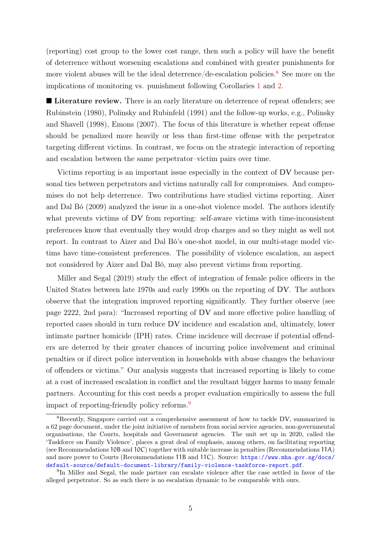(reporting) cost group to the lower cost range, then such a policy will have the benefit of deterrence without worsening escalations and combined with greater punishments for more violent abuses will be the ideal deterrence/de-escalation policies.<sup>[8](#page-0-0)</sup> See more on the implications of monitoring vs. punishment following Corollaries [1](#page-23-0) and [2.](#page-27-0)

**Literature review.** There is an early literature on deterrence of repeat offenders; see Rubinstein (1980), Polinsky and Rubinfeld (1991) and the follow-up works, e.g., Polinsky and Shavell (1998), Emons (2007). The focus of this literature is whether repeat offense should be penalized more heavily or less than first-time offense with the perpetrator targeting different victims. In contrast, we focus on the strategic interaction of reporting and escalation between the same perpetrator–victim pairs over time.

Victims reporting is an important issue especially in the context of DV because personal ties between perpetrators and victims naturally call for compromises. And compromises do not help deterrence. Two contributions have studied victims reporting. Aizer and Dal Bó (2009) analyzed the issue in a one-shot violence model. The authors identify what prevents victims of DV from reporting: self-aware victims with time-inconsistent preferences know that eventually they would drop charges and so they might as well not report. In contrast to Aizer and Dal Bó's one-shot model, in our multi-stage model victims have time-consistent preferences. The possibility of violence escalation, an aspect not considered by Aizer and Dal Bó, may also prevent victims from reporting.

Miller and Segal (2019) study the effect of integration of female police officers in the United States between late 1970s and early 1990s on the reporting of DV. The authors observe that the integration improved reporting significantly. They further observe (see page 2222, 2nd para): "Increased reporting of DV and more effective police handling of reported cases should in turn reduce DV incidence and escalation and, ultimately, lower intimate partner homicide (IPH) rates. Crime incidence will decrease if potential offenders are deterred by their greater chances of incurring police involvement and criminal penalties or if direct police intervention in households with abuse changes the behaviour of offenders or victims." Our analysis suggests that increased reporting is likely to come at a cost of increased escalation in conflict and the resultant bigger harms to many female partners. Accounting for this cost needs a proper evaluation empirically to assess the full impact of reporting-friendly policy reforms.<sup>[9](#page-0-0)</sup>

<sup>8</sup>Recently, Singapore carried out a comprehensive assessment of how to tackle DV, summarized in a 62 page document, under the joint initiative of members from social service agencies, non-governmental organisations, the Courts, hospitals and Government agencies. The unit set up in 2020, called the 'Taskforce on Family Violence', places a great deal of emphasis, among others, on facilitating reporting (see Recommendations 10B and 10C) together with suitable increase in penalties (Recommendations 11A) and more power to Courts (Recommendations 11B and 11C). Source: [https://www.mha.gov.sg/docs/](https://www.mha.gov.sg/docs/default-source/default-document-library/family-violence-taskforce-report.pdf) [default-source/default-document-library/family-violence-taskforce-report.pdf](https://www.mha.gov.sg/docs/default-source/default-document-library/family-violence-taskforce-report.pdf).

<sup>&</sup>lt;sup>9</sup>In Miller and Segal, the male partner can escalate violence after the case settled in favor of the alleged perpetrator. So as such there is no escalation dynamic to be comparable with ours.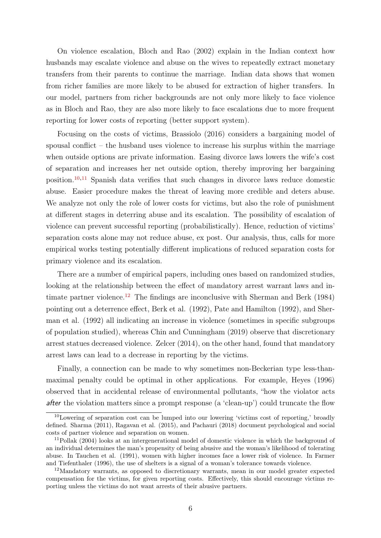On violence escalation, Bloch and Rao (2002) explain in the Indian context how husbands may escalate violence and abuse on the wives to repeatedly extract monetary transfers from their parents to continue the marriage. Indian data shows that women from richer families are more likely to be abused for extraction of higher transfers. In our model, partners from richer backgrounds are not only more likely to face violence as in Bloch and Rao, they are also more likely to face escalations due to more frequent reporting for lower costs of reporting (better support system).

Focusing on the costs of victims, Brassiolo (2016) considers a bargaining model of spousal conflict – the husband uses violence to increase his surplus within the marriage when outside options are private information. Easing divorce laws lowers the wife's cost of separation and increases her net outside option, thereby improving her bargaining position.[10](#page-0-0),[11](#page-0-0) Spanish data verifies that such changes in divorce laws reduce domestic abuse. Easier procedure makes the threat of leaving more credible and deters abuse. We analyze not only the role of lower costs for victims, but also the role of punishment at different stages in deterring abuse and its escalation. The possibility of escalation of violence can prevent successful reporting (probabilistically). Hence, reduction of victims' separation costs alone may not reduce abuse, ex post. Our analysis, thus, calls for more empirical works testing potentially different implications of reduced separation costs for primary violence and its escalation.

There are a number of empirical papers, including ones based on randomized studies, looking at the relationship between the effect of mandatory arrest warrant laws and in-timate partner violence.<sup>[12](#page-0-0)</sup> The findings are inconclusive with Sherman and Berk (1984) pointing out a deterrence effect, Berk et al. (1992), Pate and Hamilton (1992), and Sherman et al. (1992) all indicating an increase in violence (sometimes in specific subgroups of population studied), whereas Chin and Cunningham (2019) observe that discretionary arrest statues decreased violence. Zelcer (2014), on the other hand, found that mandatory arrest laws can lead to a decrease in reporting by the victims.

Finally, a connection can be made to why sometimes non-Beckerian type less-thanmaximal penalty could be optimal in other applications. For example, Heyes (1996) observed that in accidental release of environmental pollutants, "how the violator acts after the violation matters since a prompt response (a 'clean-up') could truncate the flow

<sup>10</sup>Lowering of separation cost can be lumped into our lowering 'victims cost of reporting,' broadly defined. Sharma (2011), Ragavan et al. (2015), and Pachauri (2018) document psychological and social costs of partner violence and separation on women.

<sup>&</sup>lt;sup>11</sup>Pollak (2004) looks at an intergenerational model of domestic violence in which the background of an individual determines the man's propensity of being abusive and the woman's likelihood of tolerating abuse. In Tauchen et al. (1991), women with higher incomes face a lower risk of violence. In Farmer and Tiefenthaler (1996), the use of shelters is a signal of a woman's tolerance towards violence.

<sup>&</sup>lt;sup>12</sup>Mandatory warrants, as opposed to discretionary warrants, mean in our model greater expected compensation for the victims, for given reporting costs. Effectively, this should encourage victims reporting unless the victims do not want arrests of their abusive partners.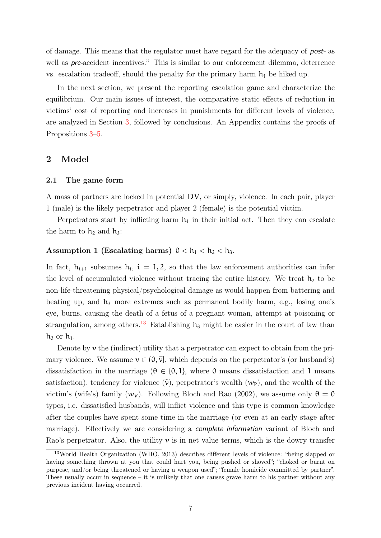of damage. This means that the regulator must have regard for the adequacy of post- as well as **pre-accident** incentives." This is similar to our enforcement dilemma, deterrence vs. escalation tradeoff, should the penalty for the primary harm  $h_1$  be hiked up.

In the next section, we present the reporting–escalation game and characterize the equilibrium. Our main issues of interest, the comparative static effects of reduction in victims' cost of reporting and increases in punishments for different levels of violence, are analyzed in Section [3,](#page-20-0) followed by conclusions. An Appendix contains the proofs of Propositions [3](#page-22-0)[–5.](#page-26-0)

## <span id="page-7-0"></span>2 Model

#### 2.1 The game form

A mass of partners are locked in potential DV, or simply, violence. In each pair, player 1 (male) is the likely perpetrator and player 2 (female) is the potential victim.

Perpetrators start by inflicting harm  $h_1$  in their initial act. Then they can escalate the harm to  $h_2$  and  $h_3$ :

## Assumption 1 (Escalating harms)  $0 < h_1 < h_2 < h_3$ .

In fact,  $h_{i+1}$  subsumes  $h_i$ ,  $i = 1, 2$ , so that the law enforcement authorities can infer the level of accumulated violence without tracing the entire history. We treat  $h_2$  to be non-life-threatening physical/psychological damage as would happen from battering and beating up, and  $h_3$  more extremes such as permanent bodily harm, e.g., losing one's eye, burns, causing the death of a fetus of a pregnant woman, attempt at poisoning or strangulation, among others.<sup>[13](#page-0-0)</sup> Establishing  $h_3$  might be easier in the court of law than  $h_2$  or  $h_1$ .

Denote by  $\nu$  the (indirect) utility that a perpetrator can expect to obtain from the primary violence. We assume  $v \in (0, \bar{v}]$ , which depends on the perpetrator's (or husband's) dissatisfaction in the marriage ( $\theta \in \{0, 1\}$ , where 0 means dissatisfaction and 1 means satisfaction), tendency for violence  $(\tilde{v})$ , perpetrator's wealth  $(w_P)$ , and the wealth of the victim's (wife's) family (w<sub>V</sub>). Following Bloch and Rao (2002), we assume only  $\theta = 0$ types, i.e. dissatisfied husbands, will inflict violence and this type is common knowledge after the couples have spent some time in the marriage (or even at an early stage after marriage). Effectively we are considering a complete information variant of Bloch and Rao's perpetrator. Also, the utility  $\nu$  is in net value terms, which is the dowry transfer

<sup>13</sup>World Health Organization (WHO, 2013) describes different levels of violence: "being slapped or having something thrown at you that could hurt you, being pushed or shoved"; "choked or burnt on purpose, and/or being threatened or having a weapon used"; "female homicide committed by partner". These usually occur in sequence – it is unlikely that one causes grave harm to his partner without any previous incident having occurred.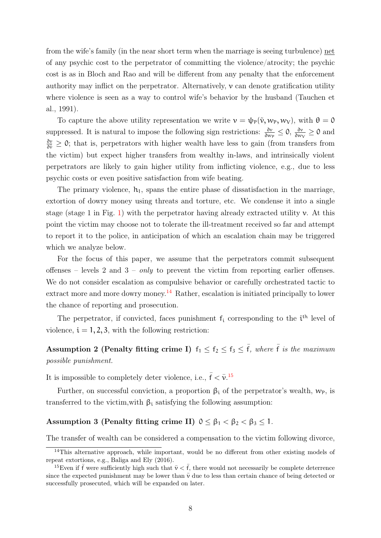from the wife's family (in the near short term when the marriage is seeing turbulence) net of any psychic cost to the perpetrator of committing the violence/atrocity; the psychic cost is as in Bloch and Rao and will be different from any penalty that the enforcement authority may inflict on the perpetrator. Alternatively,  $\nu$  can denote gratification utility where violence is seen as a way to control wife's behavior by the husband (Tauchen et al., 1991).

To capture the above utility representation we write  $v = \psi_P(\tilde{v}, w_P, w_V)$ , with  $\theta = 0$ suppressed. It is natural to impose the following sign restrictions:  $\frac{\partial v}{\partial w_P} \leq 0$ ,  $\frac{\partial v}{\partial w_P}$  $\frac{\partial v}{\partial w_V} \geq 0$  and  $\frac{\partial v}{\partial \tilde{v}} \geq 0$ ; that is, perpetrators with higher wealth have less to gain (from transfers from the victim) but expect higher transfers from wealthy in-laws, and intrinsically violent perpetrators are likely to gain higher utility from inflicting violence, e.g., due to less psychic costs or even positive satisfaction from wife beating.

The primary violence,  $h_1$ , spans the entire phase of dissatisfaction in the marriage, extortion of dowry money using threats and torture, etc. We condense it into a single stage (stage 1 in Fig. [1\)](#page-9-0) with the perpetrator having already extracted utility  $\nu$ . At this point the victim may choose not to tolerate the ill-treatment received so far and attempt to report it to the police, in anticipation of which an escalation chain may be triggered which we analyze below.

For the focus of this paper, we assume that the perpetrators commit subsequent offenses – levels 2 and  $3 - only$  to prevent the victim from reporting earlier offenses. We do not consider escalation as compulsive behavior or carefully orchestrated tactic to extract more and more dowry money.<sup>[14](#page-0-0)</sup> Rather, escalation is initiated principally to lower the chance of reporting and prosecution.

The perpetrator, if convicted, faces punishment  $f_i$  corresponding to the  $i<sup>th</sup>$  level of violence,  $i = 1, 2, 3$ , with the following restriction:

Assumption 2 (Penalty fitting crime I)  $f_1 \leq f_2 \leq f_3 \leq \overline{f}$ , where  $\overline{f}$  is the maximum possible punishment.

It is impossible to completely deter violence, i.e.,  $\bar{f} < \bar{\nu}$ .<sup>[15](#page-0-0)</sup>

Further, on successful conviction, a proportion  $\beta_i$  of the perpetrator's wealth,  $w_p$ , is transferred to the victim, with  $β<sub>i</sub>$  satisfying the following assumption:

### Assumption 3 (Penalty fitting crime II)  $0 \leq \beta_1 < \beta_2 < \beta_3 \leq 1$ .

The transfer of wealth can be considered a compensation to the victim following divorce,

 $14$ This alternative approach, while important, would be no different from other existing models of repeat extortions, e.g., Baliga and Ely (2016).

<sup>&</sup>lt;sup>15</sup>Even if  $\bar{f}$  were sufficiently high such that  $\bar{v} < \bar{f}$ , there would not necessarily be complete deterrence since the expected punishment may be lower than  $\bar{\nu}$  due to less than certain chance of being detected or successfully prosecuted, which will be expanded on later.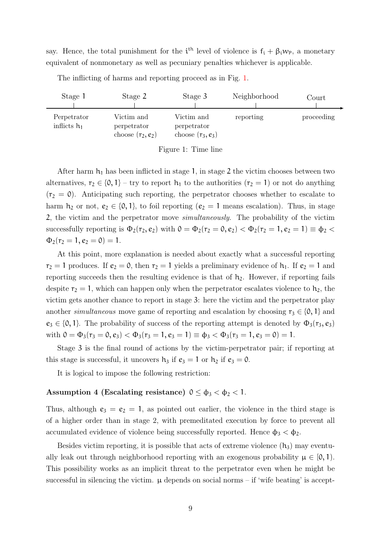say. Hence, the total punishment for the  $i<sup>th</sup>$  level of violence is  $f_i + \beta_i w_p$ , a monetary equivalent of nonmonetary as well as pecuniary penalties whichever is applicable.

<span id="page-9-0"></span>

| Stage 1                       | Stage 2                                          | Stage 3                                          | Neighborhood | Court      |
|-------------------------------|--------------------------------------------------|--------------------------------------------------|--------------|------------|
| Perpetrator<br>inflicts $h_1$ | Victim and<br>perpetrator<br>choose $(r_2, e_2)$ | Victim and<br>perpetrator<br>choose $(r_3, e_3)$ | reporting    | proceeding |

The inflicting of harms and reporting proceed as in Fig. [1.](#page-9-0)

Figure 1: Time line

After harm  $h_1$  has been inflicted in stage 1, in stage 2 the victim chooses between two alternatives,  $r_2 \in \{0, 1\}$  – try to report  $h_1$  to the authorities  $(r_2 = 1)$  or not do anything  $(r_2 = 0)$ . Anticipating such reporting, the perpetrator chooses whether to escalate to harm  $h_2$  or not,  $e_2 \in \{0, 1\}$ , to foil reporting  $(e_2 = 1$  means escalation). Thus, in stage 2, the victim and the perpetrator move simultaneously. The probability of the victim successfully reporting is  $\Phi_2(r_2, e_2)$  with  $0 = \Phi_2(r_2 = 0, e_2) < \Phi_2(r_2 = 1, e_2 = 1) \equiv \Phi_2$  $\Phi_2(r_2 = 1, e_2 = 0) = 1.$ 

At this point, more explanation is needed about exactly what a successful reporting  $r_2 = 1$  produces. If  $e_2 = 0$ , then  $r_2 = 1$  yields a preliminary evidence of  $h_1$ . If  $e_2 = 1$  and reporting succeeds then the resulting evidence is that of  $h_2$ . However, if reporting fails despite  $r_2 = 1$ , which can happen only when the perpetrator escalates violence to  $h_2$ , the victim gets another chance to report in stage 3: here the victim and the perpetrator play another *simultaneous* move game of reporting and escalation by choosing  $r_3 \in \{0, 1\}$  and  $e_3 \in \{0, 1\}$ . The probability of success of the reporting attempt is denoted by  $\Phi_3(r_3, e_3)$ with  $0 = \Phi_3(r_3 = 0, e_3) < \Phi_3(r_3 = 1, e_3 = 1) \equiv \Phi_3 < \Phi_3(r_3 = 1, e_3 = 0) = 1.$ 

Stage 3 is the final round of actions by the victim-perpetrator pair; if reporting at this stage is successful, it uncovers  $h_3$  if  $e_3 = 1$  or  $h_2$  if  $e_3 = 0$ .

It is logical to impose the following restriction:

## Assumption 4 (Escalating resistance)  $0 \le \phi_3 < \phi_2 < 1$ .

Thus, although  $e_3 = e_2 = 1$ , as pointed out earlier, the violence in the third stage is of a higher order than in stage 2, with premeditated execution by force to prevent all accumulated evidence of violence being successfully reported. Hence  $\phi_3 < \phi_2$ .

Besides victim reporting, it is possible that acts of extreme violence  $(h_3)$  may eventually leak out through neighborhood reporting with an exogenous probability  $\mu \in [0, 1]$ . This possibility works as an implicit threat to the perpetrator even when he might be successful in silencing the victim.  $\mu$  depends on social norms – if 'wife beating' is accept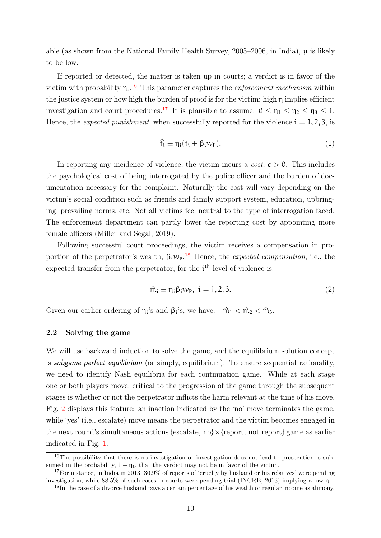able (as shown from the National Family Health Survey, 2005–2006, in India),  $\mu$  is likely to be low.

If reported or detected, the matter is taken up in courts; a verdict is in favor of the victim with probability  $\eta_i$ .<sup>[16](#page-0-0)</sup> This parameter captures the *enforcement mechanism* within the justice system or how high the burden of proof is for the victim; high η implies efficient investigation and court procedures.<sup>[17](#page-0-0)</sup> It is plausible to assume:  $0 \leq \eta_1 \leq \eta_2 \leq \eta_3 \leq 1$ . Hence, the *expected punishment*, when successfully reported for the violence  $i = 1, 2, 3$ , is

$$
\hat{f}_i \equiv \eta_i (f_i + \beta_i w_p). \tag{1}
$$

In reporting any incidence of violence, the victim incurs a  $cost$ ,  $c > 0$ . This includes the psychological cost of being interrogated by the police officer and the burden of documentation necessary for the complaint. Naturally the cost will vary depending on the victim's social condition such as friends and family support system, education, upbringing, prevailing norms, etc. Not all victims feel neutral to the type of interrogation faced. The enforcement department can partly lower the reporting cost by appointing more female officers (Miller and Segal, 2019).

Following successful court proceedings, the victim receives a compensation in proportion of the perpetrator's wealth,  $\beta_i w_p$ .<sup>[18](#page-0-0)</sup> Hence, the *expected compensation*, i.e., the expected transfer from the perpetrator, for the  $i<sup>th</sup>$  level of violence is:

$$
\hat{m}_i \equiv \eta_i \beta_i w_P, \ i = 1, 2, 3. \tag{2}
$$

Given our earlier ordering of  $\eta_i$ 's and  $\beta_i$ 's, we have:  $\hat{m}_1 < \hat{m}_2 < \hat{m}_3$ .

## 2.2 Solving the game

We will use backward induction to solve the game, and the equilibrium solution concept is subgame perfect equilibrium (or simply, equilibrium). To ensure sequential rationality, we need to identify Nash equilibria for each continuation game. While at each stage one or both players move, critical to the progression of the game through the subsequent stages is whether or not the perpetrator inflicts the harm relevant at the time of his move. Fig. [2](#page-11-0) displays this feature: an inaction indicated by the 'no' move terminates the game, while 'yes' (i.e., escalate) move means the perpetrator and the victim becomes engaged in the next round's simultaneous actions {escalate, no}  $\times$  {report, not report} game as earlier indicated in Fig. [1.](#page-9-0)

 $16$ The possibility that there is no investigation or investigation does not lead to prosecution is subsumed in the probability,  $1 - \eta_i$ , that the verdict may not be in favor of the victim.

<sup>&</sup>lt;sup>17</sup>For instance, in India in 2013,  $30.9\%$  of reports of 'cruelty by husband or his relatives' were pending investigation, while 88.5% of such cases in courts were pending trial (INCRB, 2013) implying a low η.

<sup>18</sup>In the case of a divorce husband pays a certain percentage of his wealth or regular income as alimony.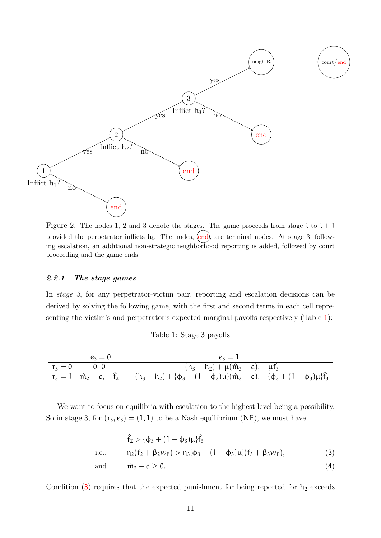<span id="page-11-0"></span>

Figure 2: The nodes 1, 2 and 3 denote the stages. The game proceeds from stage i to  $i + 1$ provided the perpetrator inflicts  $h_i$ . The nodes,  $\langle end \rangle$ , are terminal nodes. At stage 3, following escalation, an additional non-strategic neighborhood reporting is added, followed by court proceeding and the game ends.

#### 2.2.1 The stage games

In stage 3, for any perpetrator-victim pair, reporting and escalation decisions can be derived by solving the following game, with the first and second terms in each cell representing the victim's and perpetrator's expected marginal payoffs respectively (Table [1\)](#page-11-1):

Table 1: Stage 3 payoffs

<span id="page-11-1"></span>

|           | $e_3=0$ | $e_3 = 1$                                                                                                                                    |
|-----------|---------|----------------------------------------------------------------------------------------------------------------------------------------------|
| $r_3 = 0$ |         | $-(h_3-h_2)+\mu(\hat{m}_3-c), -\mu\hat{f}_3$                                                                                                 |
|           |         | $r_3 = 1 \mid \hat{m}_2 - c, -\hat{f}_2 \mid -(h_3 - h_2) + (\phi_3 + (1 - \phi_3)\mu)(\hat{m}_3 - c), -(\phi_3 + (1 - \phi_3)\mu)\hat{f}_3$ |

We want to focus on equilibria with escalation to the highest level being a possibility. So in stage 3, for  $(r_3, e_3) = (1, 1)$  to be a Nash equilibrium (NE), we must have

<span id="page-11-2"></span>
$$
\hat{f}_2 > \{\phi_3 + (1 - \phi_3)\mu\} \hat{f}_3
$$
  
i.e., 
$$
\eta_2(f_2 + \beta_2 w_P) > \eta_3[\phi_3 + (1 - \phi_3)\mu](f_3 + \beta_3 w_P),
$$
 (3)

and 
$$
\hat{m}_3 - c \ge 0.
$$
 (4)

Condition  $(3)$  $(3)$  $(3)$  requires that the expected punishment for being reported for  $h_2$  exceeds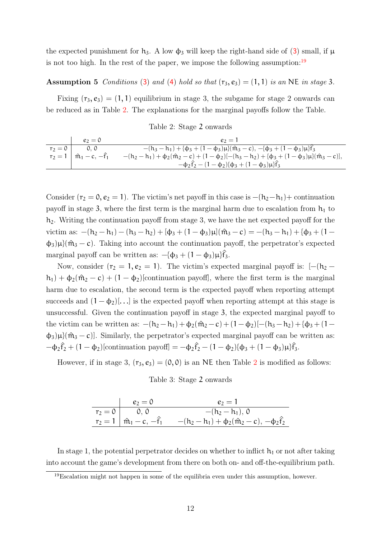the expected punishment for  $h_3$  $h_3$ . A low  $\phi_3$  will keep the right-hand side of (3) small, if  $\mu$ is not too high. In the rest of the paper, we impose the following assumption: $19$ 

#### <span id="page-12-1"></span>Assumption 5 Conditions ([3](#page-11-2)) and ([4](#page-11-2)) hold so that  $(r_3, e_3) = (1, 1)$  is an NE in stage 3.

Fixing  $(r_3, e_3) = (1, 1)$  equilibrium in stage 3, the subgame for stage 2 onwards can be reduced as in Table [2.](#page-12-0) The explanations for the marginal payoffs follow the Table.

Table 2: Stage 2 onwards

<span id="page-12-0"></span>

|           | $e_2=0$                                  | $e_2 = 1$                                                                                                        |
|-----------|------------------------------------------|------------------------------------------------------------------------------------------------------------------|
| $r_2 = 0$ | 0, 0                                     | $-(h_3 - h_1) + (\phi_3 + (1 - \phi_3)\mu)(\hat{m}_3 - c), -(\phi_3 + (1 - \phi_3)\mu)\hat{f}_3$                 |
|           | $r_2 = 1 \mid \hat{m}_1 - c, -\hat{f}_1$ | $-(h_2 - h_1) + \phi_2(\hat{m}_2 - c) + (1 - \phi_2)[-(h_3 - h_2) + (\phi_3 + (1 - \phi_3)\mu)(\hat{m}_3 - c)],$ |
|           |                                          | $-\phi_2\hat{f}_2 - (1-\phi_2)\phi_3 + (1-\phi_3)\mu\hat{f}_3$                                                   |

Consider ( $r_2 = 0$ ,  $e_2 = 1$ ). The victim's net payoff in this case is  $-(h_2-h_1)+$  continuation payoff in stage 3, where the first term is the marginal harm due to escalation from  $h_1$  to  $h_2$ . Writing the continuation payoff from stage 3, we have the net expected payoff for the victim as:  $-(h_2 - h_1) - (h_3 - h_2) + [\phi_3 + (1 - \phi_3)\mu](\hat{m}_3 - c) = -(h_3 - h_1) + {\phi_3 + (1 - \phi_3)}$  $\phi_3$ )µ}( $\hat{m}_3 - c$ ). Taking into account the continuation payoff, the perpetrator's expected marginal payoff can be written as:  $-(\phi_3 + (1 - \phi_3)\mu)\hat{f}_3$ .

Now, consider ( $r_2 = 1$ ,  $e_2 = 1$ ). The victim's expected marginal payoff is:  $[-(h_2$  $h_1$ ) +  $\phi_2(\hat{m}_2 - c) + (1 - \phi_2)$ [continuation payoff], where the first term is the marginal harm due to escalation, the second term is the expected payoff when reporting attempt succeeds and  $(1 - \phi_2)[\dots]$  is the expected payoff when reporting attempt at this stage is unsuccessful. Given the continuation payoff in stage 3, the expected marginal payoff to the victim can be written as:  $-(h_2 - h_1) + \phi_2(\hat{m}_2 - c) + (1 - \phi_2) [-(h_3 - h_2) + {\phi_3 + (1 - \phi_1)}]$  $\phi_3$ )µ}( $\hat{m}_3 - c$ )]. Similarly, the perpetrator's expected marginal payoff can be written as:  $-\phi_2\hat{f}_2 + (1 - \phi_2)[$ continuation payoff] =  $-\phi_2\hat{f}_2 - (1 - \phi_2)(\phi_3 + (1 - \phi_3)\mu)\hat{f}_3$ .

<span id="page-12-2"></span>However, if in stage 3,  $(r_3, e_3) = (0, 0)$  is an NE then Table [2](#page-12-0) is modified as follows:

#### Table 3: Stage 2 onwards

| $e_2=0$                     | $e_2=1$                                                                                           |
|-----------------------------|---------------------------------------------------------------------------------------------------|
| $\overline{r}_2 = 0$   0, 0 | $-(h_2-h_1), 0$                                                                                   |
|                             | $r_2 = 1 \mid \hat{m}_1 - c, -\hat{f}_1$ $-(h_2 - h_1) + \phi_2(\hat{m}_2 - c), -\phi_2\hat{f}_2$ |

In stage 1, the potential perpetrator decides on whether to inflict  $h_1$  or not after taking into account the game's development from there on both on- and off-the-equilibrium path.

<sup>19</sup>Escalation might not happen in some of the equilibria even under this assumption, however.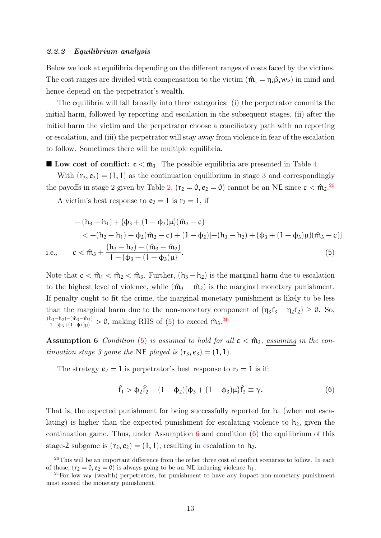#### 2.2.2 Equilibrium analysis

Below we look at equilibria depending on the different ranges of costs faced by the victims. The cost ranges are divided with compensation to the victim  $(\hat{m}_i = \eta_i \beta_i w_P)$  in mind and hence depend on the perpetrator's wealth.

The equilibria will fall broadly into three categories: (i) the perpetrator commits the initial harm, followed by reporting and escalation in the subsequent stages, (ii) after the initial harm the victim and the perpetrator choose a conciliatory path with no reporting or escalation, and (iii) the perpetrator will stay away from violence in fear of the escalation to follow. Sometimes there will be multiple equilibria.

**Low cost of conflict:**  $c < \hat{m}_1$ . The possible equilibria are presented in Table [4.](#page-14-0)

With  $(r_3, e_3) = (1, 1)$  as the continuation equilibrium in stage 3 and correspondingly the payoffs in stage 2 given by Table [2,](#page-12-0)  $(r_2 = 0, e_2 = 0)$  cannot be an NE since  $c < \hat{m}_2$ .<sup>[20](#page-0-0)</sup>

A victim's best response to  $e_2 = 1$  is  $r_2 = 1$ , if

$$
-(h_3 - h_1) + {\phi_3 + (1 - \phi_3)\mu} (\hat{m}_3 - c)
$$
  
< 
$$
< -(h_2 - h_1) + \phi_2 (\hat{m}_2 - c) + (1 - \phi_2) [-(h_3 - h_2) + {\phi_3 + (1 - \phi_3)\mu} (\hat{m}_3 - c)]
$$
  
i.e., 
$$
c < \hat{m}_3 + \frac{(h_3 - h_2) - (\hat{m}_3 - \hat{m}_2)}{1 - {\phi_3 + (1 - \phi_3)\mu}}.
$$
(5)

Note that  $c < \hat{m}_1 < \hat{m}_2 < \hat{m}_3$ . Further,  $(h_3 - h_2)$  is the marginal harm due to escalation to the highest level of violence, while  $(\hat{m}_3 - \hat{m}_2)$  is the marginal monetary punishment. If penalty ought to fit the crime, the marginal monetary punishment is likely to be less than the marginal harm due to the non-monetary component of  $(\eta_3 f_3 - \eta_2 f_2) \geq 0$ . So,  $\frac{(h_3-h_2)-(m_3-m_2)}{1-(\phi_3+(1-\phi_3)\mu)} > 0$ , making RHS of ([5](#page-13-0)) to exceed  $\hat{m}_3$ .<sup>[21](#page-0-0)</sup>

<span id="page-13-1"></span>Assumption 6 Condition ([5](#page-13-0)) is assumed to hold for all  $c < \hat{m}_3$ , assuming in the continuation stage 3 game the NE played is  $(r_3, e_3) = (1, 1)$ .

The strategy  $e_2 = 1$  is perpetrator's best response to  $r_2 = 1$  is if:

<span id="page-13-2"></span><span id="page-13-0"></span>
$$
\hat{f}_1 > \phi_2 \hat{f}_2 + (1 - \phi_2)(\phi_3 + (1 - \phi_3)\mu)\hat{f}_3 \equiv \bar{\gamma}.
$$
 (6)

That is, the expected punishment for being successfully reported for  $h_1$  (when not escalating) is higher than the expected punishment for escalating violence to  $h_2$ , given the continuation game. Thus, under Assumption  $6$  and condition  $(6)$  the equilibrium of this stage-2 subgame is  $(r_2, e_2) = (1, 1)$ , resulting in escalation to  $h_2$ .

 $^{20}$ This will be an important difference from the other three cost of conflict scenarios to follow. In each of those,  $(r_2 = 0, e_2 = 0)$  is always going to be an NE inducing violence  $h_1$ .

<sup>&</sup>lt;sup>21</sup>For low  $w_{\rm P}$  (wealth) perpetrators, for punishment to have any impact non-monetary punishment must exceed the monetary punishment.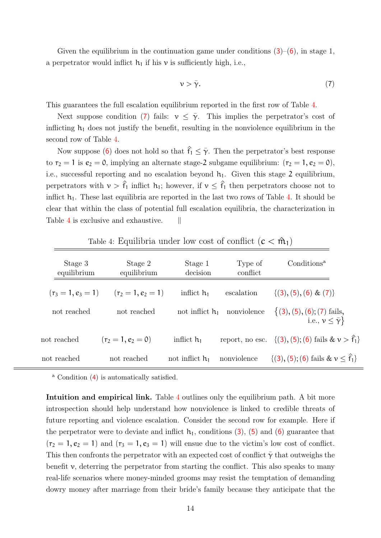Given the equilibrium in the continuation game under conditions  $(3)$  $(3)$  $(3)$ – $(6)$  $(6)$  $(6)$ , in stage 1, a perpetrator would inflict  $h_1$  if his v is sufficiently high, i.e.,

<span id="page-14-1"></span>
$$
\nu > \bar{\gamma}.\tag{7}
$$

This guarantees the full escalation equilibrium reported in the first row of Table [4.](#page-14-0)

Next suppose condition ([7](#page-14-1)) fails:  $v \leq \overline{\gamma}$ . This implies the perpetrator's cost of inflicting  $h_1$  does not justify the benefit, resulting in the nonviolence equilibrium in the second row of Table [4.](#page-14-0)

Now suppose ([6](#page-13-2)) does not hold so that  $\hat{f}_1 \leq \bar{\gamma}$ . Then the perpetrator's best response to  $r_2 = 1$  is  $e_2 = 0$ , implying an alternate stage-2 subgame equilibrium:  $(r_2 = 1, e_2 = 0)$ , i.e., successful reporting and no escalation beyond  $h_1$ . Given this stage 2 equilibrium, perpetrators with  $\nu > \hat{f}_1$  inflict  $h_1$ ; however, if  $\nu \leq \hat{f}_1$  then perpetrators choose not to inflict  $h_1$ . These last equilibria are reported in the last two rows of Table [4.](#page-14-0) It should be clear that within the class of potential full escalation equilibria, the characterization in Table [4](#page-14-0) is exclusive and exhaustive.  $||$ 

<span id="page-14-0"></span>

| Stage 3<br>equilibrium | Stage 2<br>equilibrium | Stage 1<br>decision | Type of<br>conflict | Conditions <sup>a</sup>                                        |
|------------------------|------------------------|---------------------|---------------------|----------------------------------------------------------------|
| $(r_3 = 1, e_3 = 1)$   | $(r_2 = 1, e_2 = 1)$   | inflict $h_1$       | escalation          | $\{(3), (5), (6) \& (7)\}\$                                    |
| not reached            | not reached            | not inflict $h_1$   | nonviolence         | $\{(3), (5), (6), (7)$ fails,<br>i.e., $\nu \leq \bar{\gamma}$ |
| not reached            | $(r_2 = 1, e_2 = 0)$   | inflict $h_1$       |                     | report, no esc. $\{(3), (5), (6)$ fails $\& v > f_1\}$         |
| not reached            | not reached            | not inflict $h_1$   | nonviolence         | $\{(3), (5), (6) \text{ fails } \& \nu \leq \hat{f}_1\}$       |

Table 4: Equilibria under low cost of conflict  $(c < \hat{m}_1)$ 

<sup>a</sup> Condition ([4](#page-11-2)) is automatically satisfied.

Intuition and empirical link. Table [4](#page-14-0) outlines only the equilibrium path. A bit more introspection should help understand how nonviolence is linked to credible threats of future reporting and violence escalation. Consider the second row for example. Here if the perpetrator were to deviate and inflict  $h_1$ , conditions ([3](#page-11-2)), ([5](#page-13-0)) and ([6](#page-13-2)) guarantee that  $(r_2 = 1, e_2 = 1)$  and  $(r_3 = 1, e_3 = 1)$  will ensue due to the victim's low cost of conflict. This then confronts the perpetrator with an expected cost of conflict  $\bar{\gamma}$  that outweighs the benefit  $\nu$ , deterring the perpetrator from starting the conflict. This also speaks to many real-life scenarios where money-minded grooms may resist the temptation of demanding dowry money after marriage from their bride's family because they anticipate that the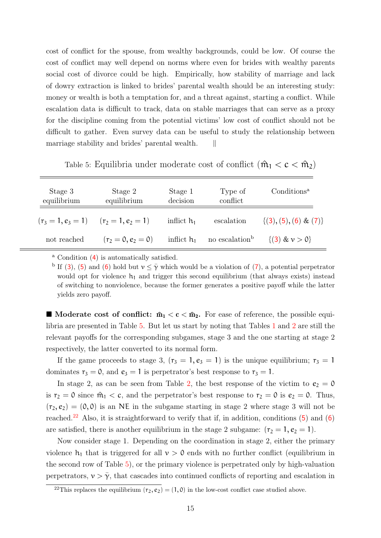cost of conflict for the spouse, from wealthy backgrounds, could be low. Of course the cost of conflict may well depend on norms where even for brides with wealthy parents social cost of divorce could be high. Empirically, how stability of marriage and lack of dowry extraction is linked to brides' parental wealth should be an interesting study: money or wealth is both a temptation for, and a threat against, starting a conflict. While escalation data is difficult to track, data on stable marriages that can serve as a proxy for the discipline coming from the potential victims' low cost of conflict should not be difficult to gather. Even survey data can be useful to study the relationship between marriage stability and brides' parental wealth.  $||$ 

<span id="page-15-0"></span>

| Table 5: Equilibria under moderate cost of conflict $(\hat{m}_1 < c < \hat{m}_2)$ |  |  |  |
|-----------------------------------------------------------------------------------|--|--|--|
|-----------------------------------------------------------------------------------|--|--|--|

| Stage 3<br>equilibrium | Stage 2<br>equilibrium | Stage 1<br>decision | Type of<br>conflict        | Conditions <sup>a</sup>    |
|------------------------|------------------------|---------------------|----------------------------|----------------------------|
| $(r_3 = 1, e_3 = 1)$   | $(r_2 = 1, e_2 = 1)$   | inflict $h_1$       | escalation                 | $\{(3), (5), (6) \& (7)\}$ |
| not reached            | $(r_2 = 0, e_2 = 0)$   | inflict $h_1$       | no escalation <sup>b</sup> | $\{(3) \& v > 0\}$         |

<sup>a</sup> Condition ([4](#page-11-2)) is automatically satisfied.

<sup>b</sup> If ([3](#page-11-2)), ([5](#page-13-0)) and ([6](#page-13-2)) hold but  $v \leq \overline{\gamma}$  which would be a violation of ([7](#page-14-1)), a potential perpetrator would opt for violence  $h_1$  and trigger this second equilibrium (that always exists) instead of switching to nonviolence, because the former generates a positive payoff while the latter yields zero payoff.

**Moderate cost of conflict:**  $\hat{m}_1 < c < \hat{m}_2$ . For ease of reference, the possible equilibria are presented in Table [5.](#page-15-0) But let us start by noting that Tables [1](#page-11-1) and [2](#page-12-0) are still the relevant payoffs for the corresponding subgames, stage 3 and the one starting at stage 2 respectively, the latter converted to its normal form.

If the game proceeds to stage 3,  $(r_3 = 1, e_3 = 1)$  is the unique equilibrium;  $r_3 = 1$ dominates  $r_3 = 0$ , and  $e_3 = 1$  is perpetrator's best response to  $r_3 = 1$ .

In stage [2,](#page-12-0) as can be seen from Table 2, the best response of the victim to  $e_2 = 0$ is  $r_2 = 0$  since  $\hat{m}_1 < c$ , and the perpetrator's best response to  $r_2 = 0$  is  $e_2 = 0$ . Thus,  $(r_2, e_2) = (0, 0)$  is an NE in the subgame starting in stage 2 where stage 3 will not be reached.<sup>[22](#page-0-0)</sup> Also, it is straightforward to verify that if, in addition, conditions  $(5)$  $(5)$  $(5)$  and  $(6)$  $(6)$  $(6)$ are satisfied, there is another equilibrium in the stage 2 subgame:  $(r_2 = 1, e_2 = 1)$ .

Now consider stage 1. Depending on the coordination in stage 2, either the primary violence  $h_1$  that is triggered for all  $v > 0$  ends with no further conflict (equilibrium in the second row of Table [5\)](#page-15-0), or the primary violence is perpetrated only by high-valuation perpetrators,  $v > \overline{\gamma}$ , that cascades into continued conflicts of reporting and escalation in

<sup>&</sup>lt;sup>22</sup>This replaces the equilibrium  $(r_2, \varepsilon_2) = (1, 0)$  in the low-cost conflict case studied above.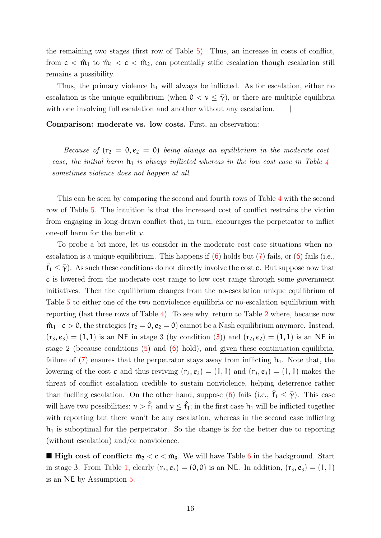the remaining two stages (first row of Table [5\)](#page-15-0). Thus, an increase in costs of conflict, from  $c < \hat{m}_1$  to  $\hat{m}_1 < c < \hat{m}_2$ , can potentially stifle escalation though escalation still remains a possibility.

Thus, the primary violence  $h_1$  will always be inflicted. As for escalation, either no escalation is the unique equilibrium (when  $0 < v \leq \overline{\gamma}$ ), or there are multiple equilibria with one involving full escalation and another without any escalation.

Comparison: moderate vs. low costs. First, an observation:

Because of  $(r_2 = 0, e_2 = 0)$  being always an equilibrium in the moderate cost case, the initial harm  $h_1$  is always inflicted whereas in the low cost case in Table [4](#page-14-0) sometimes violence does not happen at all.

This can be seen by comparing the second and fourth rows of Table [4](#page-14-0) with the second row of Table [5.](#page-15-0) The intuition is that the increased cost of conflict restrains the victim from engaging in long-drawn conflict that, in turn, encourages the perpetrator to inflict one-off harm for the benefit  $\nu$ .

To probe a bit more, let us consider in the moderate cost case situations when noescalation is a unique equilibrium. This happens if  $(6)$  $(6)$  $(6)$  holds but  $(7)$  $(7)$  $(7)$  fails, or  $(6)$  fails (i.e.,  $f_1 \leq \overline{\gamma}$ ). As such these conditions do not directly involve the cost c. But suppose now that c is lowered from the moderate cost range to low cost range through some government initiatives. Then the equilibrium changes from the no-escalation unique equilibrium of Table [5](#page-15-0) to either one of the two nonviolence equilibria or no-escalation equilibrium with reporting (last three rows of Table [4\)](#page-14-0). To see why, return to Table [2](#page-12-0) where, because now  $m_1$ −c > 0, the strategies ( $r_2 = 0$ ,  $e_2 = 0$ ) cannot be a Nash equilibrium anymore. Instead,  $(r_3, e_3) = (1, 1)$  $(r_3, e_3) = (1, 1)$  $(r_3, e_3) = (1, 1)$  is an NE in stage 3 (by condition (3)) and  $(r_2, e_2) = (1, 1)$  is an NE in stage 2 (because conditions  $(5)$  $(5)$  $(5)$  and  $(6)$  $(6)$  $(6)$  hold), and given these continuation equilibria. failure of  $(7)$  $(7)$  $(7)$  ensures that the perpetrator stays away from inflicting  $h_1$ . Note that, the lowering of the cost c and thus reviving  $(r_2, e_2) = (1, 1)$  and  $(r_3, e_3) = (1, 1)$  makes the threat of conflict escalation credible to sustain nonviolence, helping deterrence rather than fuelling escalation. On the other hand, suppose ([6](#page-13-2)) fails (i.e.,  $\hat{f}_1 < \bar{\gamma}$ ). This case will have two possibilities:  $v > \hat{f}_1$  and  $v \leq \hat{f}_1$ ; in the first case  $h_1$  will be inflicted together with reporting but there won't be any escalation, whereas in the second case inflicting  $h_1$  is suboptimal for the perpetrator. So the change is for the better due to reporting (without escalation) and/or nonviolence.

**High cost of conflict:**  $\hat{m}_2 < c < \hat{m}_3$ . We will have Table [6](#page-17-0) in the background. Start in stage 3. From Table [1,](#page-11-1) clearly  $(r_3, e_3) = (0, 0)$  is an NE. In addition,  $(r_3, e_3) = (1, 1)$ is an NE by Assumption [5.](#page-12-1)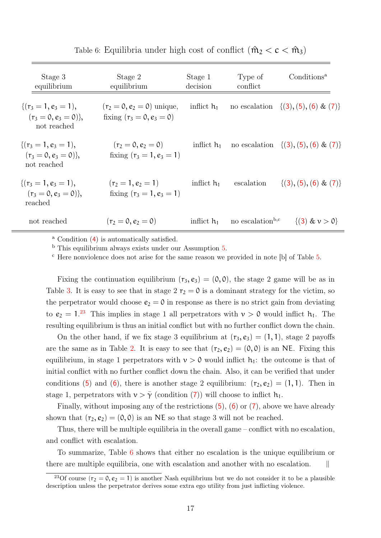| Stage 3<br>equilibrium                                         | Stage 2<br>equilibrium                                      | Stage 1<br>decision | Type of<br>conflict          | Conditions <sup>a</sup>                   |
|----------------------------------------------------------------|-------------------------------------------------------------|---------------------|------------------------------|-------------------------------------------|
| $\{(r_3=1, e_3=1),$<br>$(r_3 = 0, e_3 = 0)$ ,<br>not reached   | $(r_2 = 0, e_2 = 0)$ unique,<br>fixing $(r_3 = 0, e_3 = 0)$ | inflict $h_1$       |                              | no escalation $\{(3), (5), (6) \& (7)\}\$ |
| $\{(r_3=1, e_3=1),\}$<br>$(r_3 = 0, e_3 = 0)$ ,<br>not reached | $(r_2 = 0, e_2 = 0)$<br>fixing $(r_3 = 1, e_3 = 1)$         | inflict $h_1$       |                              | no escalation $\{(3), (5), (6) \& (7)\}\$ |
| $\{(r_3=1, e_3=1),$<br>$(r_3 = 0, e_3 = 0)$ ,<br>reached       | $(r_2 = 1, e_2 = 1)$<br>fixing $(r_3 = 1, e_3 = 1)$         | inflict $h_1$       | escalation                   | $\{(3), (5), (6) \& (7)\}\$               |
| not reached                                                    | $(r_2 = 0, e_2 = 0)$                                        | inflict $h_1$       | no escalation <sup>b,c</sup> | $\{(3) \& v > 0\}$                        |

<span id="page-17-0"></span>Table 6: Equilibria under high cost of conflict  $(\hat{m}_2 < c < \hat{m}_3)$ 

<sup>a</sup> Condition ([4](#page-11-2)) is automatically satisfied.

<sup>b</sup> This equilibrium always exists under our Assumption [5.](#page-12-1)

<sup>c</sup> Here nonviolence does not arise for the same reason we provided in note [b] of Table [5.](#page-15-0)

Fixing the continuation equilibrium  $(r_3, e_3) = (0, 0)$ , the stage 2 game will be as in Table [3.](#page-12-2) It is easy to see that in stage 2  $r_2 = 0$  is a dominant strategy for the victim, so the perpetrator would choose  $e_2 = 0$  in response as there is no strict gain from deviating to  $e_2 = 1.^{23}$  $e_2 = 1.^{23}$  $e_2 = 1.^{23}$  This implies in stage 1 all perpetrators with  $v > 0$  would inflict  $h_1$ . The resulting equilibrium is thus an initial conflict but with no further conflict down the chain.

On the other hand, if we fix stage 3 equilibrium at  $(r_3, e_3) = (1, 1)$ , stage 2 payoffs are the same as in Table [2.](#page-12-0) It is easy to see that  $(r_2, e_2) = (0, 0)$  is an NE. Fixing this equilibrium, in stage 1 perpetrators with  $v > 0$  would inflict  $h_1$ : the outcome is that of initial conflict with no further conflict down the chain. Also, it can be verified that under conditions ([5](#page-13-0)) and ([6](#page-13-2)), there is another stage 2 equilibrium:  $(r_2, e_2) = (1, 1)$ . Then in stage 1, perpetrators with  $v > \overline{\gamma}$  (condition ([7](#page-14-1))) will choose to inflict  $h_1$ .

Finally, without imposing any of the restrictions  $(5)$  $(5)$  $(5)$ ,  $(6)$  $(6)$  $(6)$  or  $(7)$  $(7)$  $(7)$ , above we have already shown that  $(r_2, e_2) = (0, 0)$  is an NE so that stage 3 will not be reached.

Thus, there will be multiple equilibria in the overall game – conflict with no escalation, and conflict with escalation.

To summarize, Table [6](#page-17-0) shows that either no escalation is the unique equilibrium or there are multiple equilibria, one with escalation and another with no escalation. ||

<sup>&</sup>lt;sup>23</sup>Of course  $(r_2 = 0, e_2 = 1)$  is another Nash equilibrium but we do not consider it to be a plausible description unless the perpetrator derives some extra ego utility from just inflicting violence.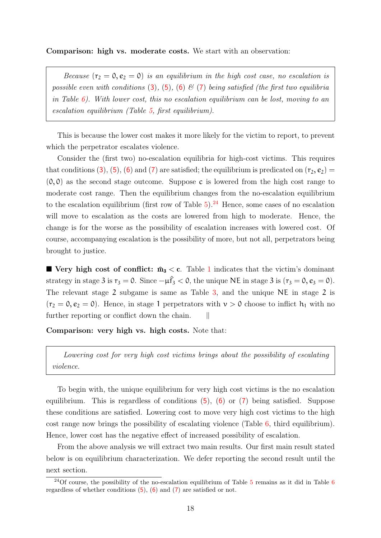Comparison: high vs. moderate costs. We start with an observation:

Because  $(r_2 = 0, e_2 = 0)$  is an equilibrium in the high cost case, no escalation is possible even with conditions ([3](#page-11-2)), ([5](#page-13-0)), ([6](#page-13-2))  $\mathcal{E}(7)$  $\mathcal{E}(7)$  $\mathcal{E}(7)$  being satisfied (the first two equilibria in Table  $6$ ). With lower cost, this no escalation equilibrium can be lost, moving to an escalation equilibrium (Table [5,](#page-15-0) first equilibrium).

This is because the lower cost makes it more likely for the victim to report, to prevent which the perpetrator escalates violence.

Consider the (first two) no-escalation equilibria for high-cost victims. This requires that conditions ([3](#page-11-2)), ([5](#page-13-0)), ([6](#page-13-2)) and ([7](#page-14-1)) are satisfied; the equilibrium is predicated on  $(r_2, e_2)$  =  $(0, 0)$  as the second stage outcome. Suppose c is lowered from the high cost range to moderate cost range. Then the equilibrium changes from the no-escalation equilibrium to the escalation equilibrium (first row of Table  $5$ ).<sup>[24](#page-0-0)</sup> Hence, some cases of no escalation will move to escalation as the costs are lowered from high to moderate. Hence, the change is for the worse as the possibility of escalation increases with lowered cost. Of course, accompanying escalation is the possibility of more, but not all, perpetrators being brought to justice.

**Very high cost of conflict:**  $\hat{m}_3 < c$ . Table [1](#page-11-1) indicates that the victim's dominant strategy in stage 3 is  $r_3 = 0$ . Since  $-\mu \hat{f}_3 < 0$ , the unique NE in stage 3 is  $(r_3 = 0, e_3 = 0)$ . The relevant stage 2 subgame is same as Table [3,](#page-12-2) and the unique NE in stage 2 is  $(r_2 = 0, e_2 = 0)$ . Hence, in stage 1 perpetrators with  $\nu > 0$  choose to inflict  $h_1$  with no further reporting or conflict down the chain.  $||$ 

Comparison: very high vs. high costs. Note that:

Lowering cost for very high cost victims brings about the possibility of escalating violence.

To begin with, the unique equilibrium for very high cost victims is the no escalation equilibrium. This is regardless of conditions  $(5)$  $(5)$  $(5)$ ,  $(6)$  $(6)$  $(6)$  or  $(7)$  $(7)$  $(7)$  being satisfied. Suppose these conditions are satisfied. Lowering cost to move very high cost victims to the high cost range now brings the possibility of escalating violence (Table [6,](#page-17-0) third equilibrium). Hence, lower cost has the negative effect of increased possibility of escalation.

From the above analysis we will extract two main results. Our first main result stated below is on equilibrium characterization. We defer reporting the second result until the next section.

<span id="page-18-0"></span><sup>&</sup>lt;sup>24</sup>Of course, the possibility of the no-escalation equilibrium of Table  $5$  remains as it did in Table  $6$ regardless of whether conditions ([5](#page-13-0)), ([6](#page-13-2)) and ([7](#page-14-1)) are satisfied or not.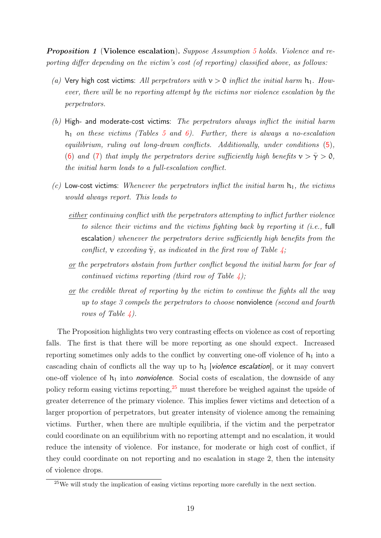Proposition 1 (Violence escalation). Suppose Assumption [5](#page-12-1) holds. Violence and reporting differ depending on the victim's cost (of reporting) classified above, as follows:

- (a) Very high cost victims: All perpetrators with  $v > 0$  inflict the initial harm  $h_1$ . However, there will be no reporting attempt by the victims nor violence escalation by the perpetrators.
- $(b)$  High- and moderate-cost victims: The perpetrators always inflict the initial harm  $h_1$  on these victims (Tables [5](#page-15-0) and [6\)](#page-17-0). Further, there is always a no-escalation equilibrium, ruling out long-drawn conflicts. Additionally, under conditions ([5](#page-13-0)), ([6](#page-13-2)) and ([7](#page-14-1)) that imply the perpetrators derive sufficiently high benefits  $v > \overline{\gamma} > 0$ , the initial harm leads to a full-escalation conflict.
- (c) Low-cost victims: Whenever the perpetrators inflict the initial harm  $h_1$ , the victims would always report. This leads to
	- either continuing conflict with the perpetrators attempting to inflict further violence to silence their victims and the victims fighting back by reporting it (i.e., full escalation) whenever the perpetrators derive sufficiently high benefits from the conflict, v exceeding  $\bar{\gamma}$ , as indicated in the first row of Table [4;](#page-14-0)
	- or the perpetrators abstain from further conflict beyond the initial harm for fear of continued victims reporting (third row of Table  $\lambda$ );
	- or the credible threat of reporting by the victim to continue the fights all the way up to stage 3 compels the perpetrators to choose nonviolence (second and fourth rows of Table  $\angle$ .

The Proposition highlights two very contrasting effects on violence as cost of reporting falls. The first is that there will be more reporting as one should expect. Increased reporting sometimes only adds to the conflict by converting one-off violence of  $h_1$  into a cascading chain of conflicts all the way up to  $h_3$  [violence escalation], or it may convert one-off violence of  $h_1$  into *nonviolence*. Social costs of escalation, the downside of any policy reform easing victims reporting,  $2<sup>5</sup>$  must therefore be weighed against the upside of greater deterrence of the primary violence. This implies fewer victims and detection of a larger proportion of perpetrators, but greater intensity of violence among the remaining victims. Further, when there are multiple equilibria, if the victim and the perpetrator could coordinate on an equilibrium with no reporting attempt and no escalation, it would reduce the intensity of violence. For instance, for moderate or high cost of conflict, if they could coordinate on not reporting and no escalation in stage 2, then the intensity of violence drops.

<sup>25</sup>We will study the implication of easing victims reporting more carefully in the next section.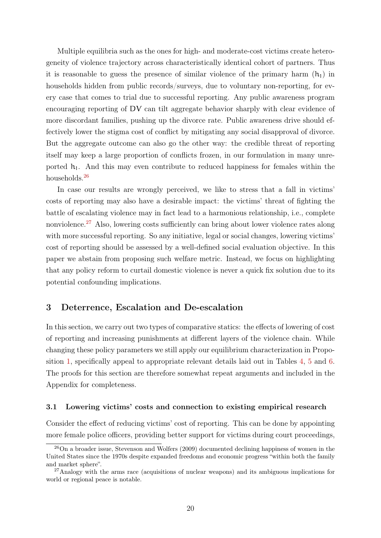Multiple equilibria such as the ones for high- and moderate-cost victims create heterogeneity of violence trajectory across characteristically identical cohort of partners. Thus it is reasonable to guess the presence of similar violence of the primary harm  $(h_1)$  in households hidden from public records/surveys, due to voluntary non-reporting, for every case that comes to trial due to successful reporting. Any public awareness program encouraging reporting of DV can tilt aggregate behavior sharply with clear evidence of more discordant families, pushing up the divorce rate. Public awareness drive should effectively lower the stigma cost of conflict by mitigating any social disapproval of divorce. But the aggregate outcome can also go the other way: the credible threat of reporting itself may keep a large proportion of conflicts frozen, in our formulation in many unreported  $h_1$ . And this may even contribute to reduced happiness for females within the households.<sup>[26](#page-0-0)</sup>

In case our results are wrongly perceived, we like to stress that a fall in victims' costs of reporting may also have a desirable impact: the victims' threat of fighting the battle of escalating violence may in fact lead to a harmonious relationship, i.e., complete nonviolence.<sup>[27](#page-0-0)</sup> Also, lowering costs sufficiently can bring about lower violence rates along with more successful reporting. So any initiative, legal or social changes, lowering victims' cost of reporting should be assessed by a well-defined social evaluation objective. In this paper we abstain from proposing such welfare metric. Instead, we focus on highlighting that any policy reform to curtail domestic violence is never a quick fix solution due to its potential confounding implications.

## <span id="page-20-0"></span>3 Deterrence, Escalation and De-escalation

In this section, we carry out two types of comparative statics: the effects of lowering of cost of reporting and increasing punishments at different layers of the violence chain. While changing these policy parameters we still apply our equilibrium characterization in Proposition [1,](#page-18-0) specifically appeal to appropriate relevant details laid out in Tables [4,](#page-14-0) [5](#page-15-0) and [6.](#page-17-0) The proofs for this section are therefore somewhat repeat arguments and included in the Appendix for completeness.

#### 3.1 Lowering victims' costs and connection to existing empirical research

Consider the effect of reducing victims' cost of reporting. This can be done by appointing more female police officers, providing better support for victims during court proceedings,

 $^{26}$ On a broader issue, Stevenson and Wolfers (2009) documented declining happiness of women in the United States since the 1970s despite expanded freedoms and economic progress "within both the family and market sphere".

 $27$ Analogy with the arms race (acquisitions of nuclear weapons) and its ambiguous implications for world or regional peace is notable.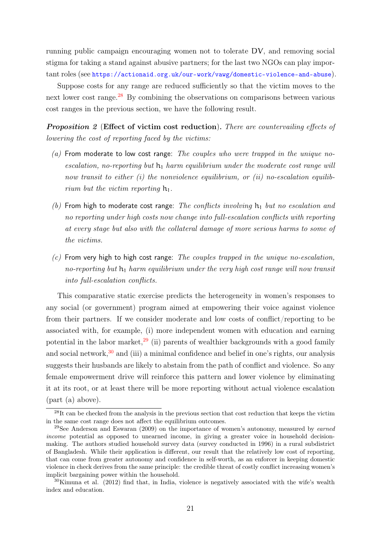running public campaign encouraging women not to tolerate DV, and removing social stigma for taking a stand against abusive partners; for the last two NGOs can play important roles (see <https://actionaid.org.uk/our-work/vawg/domestic-violence-and-abuse>).

Suppose costs for any range are reduced sufficiently so that the victim moves to the next lower cost range.<sup>[28](#page-0-0)</sup> By combining the observations on comparisons between various cost ranges in the previous section, we have the following result.

<span id="page-21-0"></span>**Proposition 2** (Effect of victim cost reduction). There are countervailing effects of lowering the cost of reporting faced by the victims:

- $(a)$  From moderate to low cost range: The couples who were trapped in the unique noescalation, no-reporting but  $h_1$  harm equilibrium under the moderate cost range will now transit to either (i) the nonviolence equilibrium, or (ii) no-escalation equilibrium but the victim reporting  $h_1$ .
- (b) From high to moderate cost range: The conflicts involving  $h_1$  but no escalation and no reporting under high costs now change into full-escalation conflicts with reporting at every stage but also with the collateral damage of more serious harms to some of the victims.
- $(c)$  From very high to high cost range: The couples trapped in the unique no-escalation, no-reporting but  $h_1$  harm equilibrium under the very high cost range will now transit into full-escalation conflicts.

This comparative static exercise predicts the heterogeneity in women's responses to any social (or government) program aimed at empowering their voice against violence from their partners. If we consider moderate and low costs of conflict/reporting to be associated with, for example, (i) more independent women with education and earning potential in the labor market, $29$  (ii) parents of wealthier backgrounds with a good family and social network,  $30$  and (iii) a minimal confidence and belief in one's rights, our analysis suggests their husbands are likely to abstain from the path of conflict and violence. So any female empowerment drive will reinforce this pattern and lower violence by eliminating it at its root, or at least there will be more reporting without actual violence escalation (part (a) above).

 $^{28}$ It can be checked from the analysis in the previous section that cost reduction that keeps the victim in the same cost range does not affect the equilibrium outcomes.

<sup>&</sup>lt;sup>29</sup>See Anderson and Eswaran (2009) on the importance of women's autonomy, measured by *earned* income potential as opposed to unearned income, in giving a greater voice in household decisionmaking. The authors studied household survey data (survey conducted in 1996) in a rural subdistrict of Bangladesh. While their application is different, our result that the relatively low cost of reporting, that can come from greater autonomy and confidence in self-worth, as an enforcer in keeping domestic violence in check derives from the same principle: the credible threat of costly conflict increasing women's implicit bargaining power within the household.

<sup>&</sup>lt;sup>30</sup>Kimuna et al. (2012) find that, in India, violence is negatively associated with the wife's wealth index and education.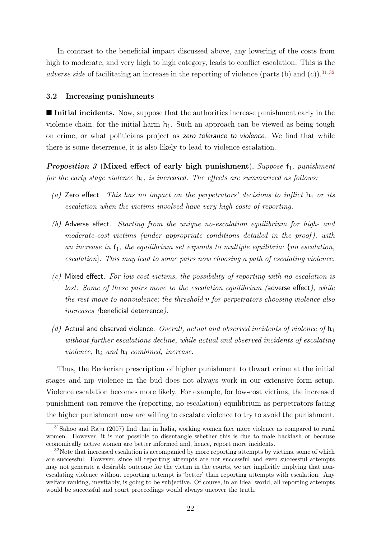In contrast to the beneficial impact discussed above, any lowering of the costs from high to moderate, and very high to high category, leads to conflict escalation. This is the adverse side of facilitating an increase in the reporting of violence (parts (b) and (c)).<sup>[31](#page-0-0),[32](#page-0-0)</sup>

#### 3.2 Increasing punishments

■ Initial incidents. Now, suppose that the authorities increase punishment early in the violence chain, for the initial harm  $h_1$ . Such an approach can be viewed as being tough on crime, or what politicians project as zero tolerance to violence. We find that while there is some deterrence, it is also likely to lead to violence escalation.

<span id="page-22-0"></span>Proposition  $3$  (Mixed effect of early high punishment). Suppose  $f_1$ , punishment for the early stage violence  $h_1$ , is increased. The effects are summarized as follows:

- (a) Zero effect. This has no impact on the perpetrators' decisions to inflict  $h_1$  or its escalation when the victims involved have very high costs of reporting.
- (b) Adverse effect. Starting from the unique no-escalation equilibrium for high- and moderate-cost victims (under appropriate conditions detailed in the proof), with an increase in  $f_1$ , the equilibrium set expands to multiple equilibria: {no escalation, escalation}. This may lead to some pairs now choosing a path of escalating violence.
- $(c)$  Mixed effect. For low-cost victims, the possibility of reporting with no escalation is lost. Some of these pairs move to the escalation equilibrium (adverse effect), while the rest move to nonviolence; the threshold v for perpetrators choosing violence also increases (beneficial deterrence).
- (d) Actual and observed violence. Overall, actual and observed incidents of violence of  $h_1$ without further escalations decline, while actual and observed incidents of escalating violence,  $h_2$  and  $h_3$  combined, increase.

Thus, the Beckerian prescription of higher punishment to thwart crime at the initial stages and nip violence in the bud does not always work in our extensive form setup. Violence escalation becomes more likely. For example, for low-cost victims, the increased punishment can remove the (reporting, no-escalation) equilibrium as perpetrators facing the higher punishment now are willing to escalate violence to try to avoid the punishment.

<sup>31</sup>Sahoo and Raju (2007) find that in India, working women face more violence as compared to rural women. However, it is not possible to disentangle whether this is due to male backlash or because economically active women are better informed and, hence, report more incidents.

<sup>&</sup>lt;sup>32</sup>Note that increased escalation is accompanied by more reporting attempts by victims, some of which are successful. However, since all reporting attempts are not successful and even successful attempts may not generate a desirable outcome for the victim in the courts, we are implicitly implying that nonescalating violence without reporting attempt is 'better' than reporting attempts with escalation. Any welfare ranking, inevitably, is going to be subjective. Of course, in an ideal world, all reporting attempts would be successful and court proceedings would always uncover the truth.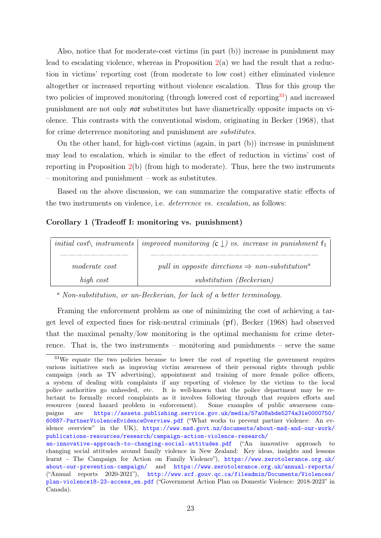Also, notice that for moderate-cost victims (in part (b)) increase in punishment may lead to escalating violence, whereas in Proposition  $2(a)$  $2(a)$  we had the result that a reduction in victims' reporting cost (from moderate to low cost) either eliminated violence altogether or increased reporting without violence escalation. Thus for this group the two policies of improved monitoring (through lowered cost of reporting<sup>[33](#page-0-0)</sup>) and increased punishment are not only not substitutes but have diametrically opposite impacts on violence. This contrasts with the conventional wisdom, originating in Becker (1968), that for crime deterrence monitoring and punishment are *substitutes*.

On the other hand, for high-cost victims (again, in part (b)) increase in punishment may lead to escalation, which is similar to the effect of reduction in victims' cost of reporting in Proposition  $2(b)$  $2(b)$  (from high to moderate). Thus, here the two instruments – monitoring and punishment – work as substitutes.

Based on the above discussion, we can summarize the comparative static effects of the two instruments on violence, i.e. deterrence vs. escalation, as follows:

#### <span id="page-23-0"></span>Corollary 1 (Tradeoff I: monitoring vs. punishment)

|               | initial cost instruments improved monitoring $(c \downarrow)$ vs. increase in punishment $f_1$ |
|---------------|------------------------------------------------------------------------------------------------|
|               |                                                                                                |
| moderate cost | pull in opposite directions $\Rightarrow$ non-substitution <sup>a</sup>                        |
| high cost     | substitution (Beckerian)                                                                       |

<sup>a</sup> Non-substitution, or un-Beckerian, for lack of a better terminology.

Framing the enforcement problem as one of minimizing the cost of achieving a target level of expected fines for risk-neutral criminals (pf), Becker (1968) had observed that the maximal penalty/low monitoring is the optimal mechanism for crime deterrence. That is, the two instruments – monitoring and punishments – serve the same

<sup>&</sup>lt;sup>33</sup>We equate the two policies because to lower the cost of reporting the government requires various initiatives such as improving victim awareness of their personal rights through public campaign (such as TV advertising), appointment and training of more female police officers, a system of dealing with complaints if any reporting of violence by the victims to the local police authorities go unheeded, etc. It is well-known that the police department may be reluctant to formally record complaints as it involves following through that requires efforts and resources (moral hazard problem in enforcement). Some examples of public awareness campaigns are [https://assets.publishing.service.gov.uk/media/57a08abde5274a31e0000750/](https://assets.publishing.service.gov.uk/media/57a08abde5274a31e0000750/60887-PartnerViolenceEvidenceOverview.pdf) [60887-PartnerViolenceEvidenceOverview.pdf](https://assets.publishing.service.gov.uk/media/57a08abde5274a31e0000750/60887-PartnerViolenceEvidenceOverview.pdf) ("What works to prevent partner violence: An evidence overview" in the UK), [https://www.msd.govt.nz/documents/about-msd-and-our-work/](https://www.msd.govt.nz/documents/about-msd-and-our-work/publications-resources/research/campaign-action-violence-research/an-innovative-approach-to-changing-social-attitudes.pdf) [publications-resources/research/campaign-action-violence-research/](https://www.msd.govt.nz/documents/about-msd-and-our-work/publications-resources/research/campaign-action-violence-research/an-innovative-approach-to-changing-social-attitudes.pdf)

[an-innovative-approach-to-changing-social-attitudes.pdf](https://www.msd.govt.nz/documents/about-msd-and-our-work/publications-resources/research/campaign-action-violence-research/an-innovative-approach-to-changing-social-attitudes.pdf) ("An innovative approach to changing social attitudes around family violence in New Zealand: Key ideas, insights and lessons learnt - The Campaign for Action on Family Violence"), [https://www.zerotolerance.org.uk/](https://www.zerotolerance.org.uk/about-our-prevention-campaign/) [about-our-prevention-campaign/](https://www.zerotolerance.org.uk/about-our-prevention-campaign/) and <https://www.zerotolerance.org.uk/annual-reports/> ("Annual reports 2020-2021"), [http://www.scf.gouv.qc.ca/fileadmin/Documents/Violences/](http://www.scf.gouv.qc.ca/fileadmin/Documents/Violences/plan-violence18-23-access_en.pdf) [plan-violence18-23-access\\_en.pdf](http://www.scf.gouv.qc.ca/fileadmin/Documents/Violences/plan-violence18-23-access_en.pdf) ("Government Action Plan on Domestic Violence: 2018-2023" in Canada).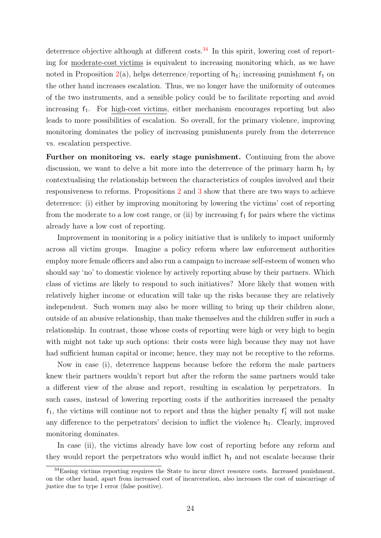deterrence objective although at different costs.<sup>[34](#page-0-0)</sup> In this spirit, lowering cost of reporting for moderate-cost victims is equivalent to increasing monitoring which, as we have noted in Proposition [2\(](#page-21-0)a), helps deterrence/reporting of  $h_1$ ; increasing punishment  $f_1$  on the other hand increases escalation. Thus, we no longer have the uniformity of outcomes of the two instruments, and a sensible policy could be to facilitate reporting and avoid increasing f1. For high-cost victims, either mechanism encourages reporting but also leads to more possibilities of escalation. So overall, for the primary violence, improving monitoring dominates the policy of increasing punishments purely from the deterrence vs. escalation perspective.

Further on monitoring vs. early stage punishment. Continuing from the above discussion, we want to delve a bit more into the deterrence of the primary harm  $h_1$  by contextualising the relationship between the characteristics of couples involved and their responsiveness to reforms. Propositions [2](#page-21-0) and [3](#page-22-0) show that there are two ways to achieve deterrence: (i) either by improving monitoring by lowering the victims' cost of reporting from the moderate to a low cost range, or (ii) by increasing  $f_1$  for pairs where the victims already have a low cost of reporting.

Improvement in monitoring is a policy initiative that is unlikely to impact uniformly across all victim groups. Imagine a policy reform where law enforcement authorities employ more female officers and also run a campaign to increase self-esteem of women who should say 'no' to domestic violence by actively reporting abuse by their partners. Which class of victims are likely to respond to such initiatives? More likely that women with relatively higher income or education will take up the risks because they are relatively independent. Such women may also be more willing to bring up their children alone, outside of an abusive relationship, than make themselves and the children suffer in such a relationship. In contrast, those whose costs of reporting were high or very high to begin with might not take up such options: their costs were high because they may not have had sufficient human capital or income; hence, they may not be receptive to the reforms.

Now in case (i), deterrence happens because before the reform the male partners knew their partners wouldn't report but after the reform the same partners would take a different view of the abuse and report, resulting in escalation by perpetrators. In such cases, instead of lowering reporting costs if the authorities increased the penalty  $f_1$ , the victims will continue not to report and thus the higher penalty  $f'_1$  will not make any difference to the perpetrators' decision to inflict the violence  $h_1$ . Clearly, improved monitoring dominates.

In case (ii), the victims already have low cost of reporting before any reform and they would report the perpetrators who would inflict  $h_1$  and not escalate because their

<sup>&</sup>lt;sup>34</sup>Easing victims reporting requires the State to incur direct resource costs. Increased punishment, on the other hand, apart from increased cost of incarceration, also increases the cost of miscarriage of justice due to type I error (false positive).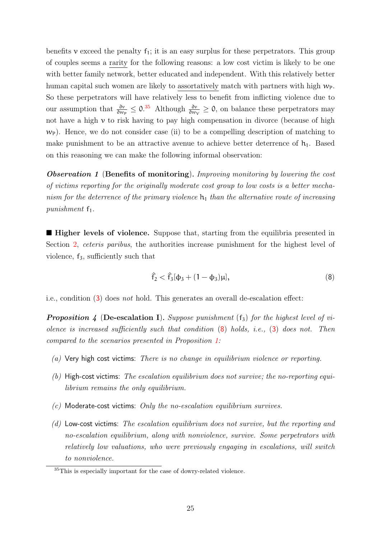benefits v exceed the penalty  $f_1$ ; it is an easy surplus for these perpetrators. This group of couples seems a rarity for the following reasons: a low cost victim is likely to be one with better family network, better educated and independent. With this relatively better human capital such women are likely to assortatively match with partners with high  $w_{P}$ . So these perpetrators will have relatively less to benefit from inflicting violence due to our assumption that  $\frac{\partial v}{\partial w_P} \leq 0.35$  $\frac{\partial v}{\partial w_P} \leq 0.35$  Although  $\frac{\partial v}{\partial w_V} \geq 0$ , on balance these perpetrators may not have a high  $\nu$  to risk having to pay high compensation in divorce (because of high  $w_{\rm P}$ ). Hence, we do not consider case (ii) to be a compelling description of matching to make punishment to be an attractive avenue to achieve better deterrence of  $h_1$ . Based on this reasoning we can make the following informal observation:

**Observation 1** (Benefits of monitoring). Improving monitoring by lowering the cost of victims reporting for the originally moderate cost group to low costs is a better mechanism for the deterrence of the primary violence  $h_1$  than the alternative route of increasing punishment  $f_1$ .

**Higher levels of violence.** Suppose that, starting from the equilibria presented in Section [2,](#page-7-0) *ceteris paribus*, the authorities increase punishment for the highest level of violence,  $f_3$ , sufficiently such that

<span id="page-25-1"></span>
$$
\hat{f}_2 < \hat{f}_3[\phi_3 + (1 - \phi_3)\mu],\tag{8}
$$

<span id="page-25-0"></span>i.e., condition ([3](#page-11-2)) does not hold. This generates an overall de-escalation effect:

**Proposition 4 (De-escalation I).** Suppose punishment  $(f_3)$  for the highest level of violence is increased sufficiently such that condition  $(8)$  $(8)$  $(8)$  holds, i.e.,  $(3)$  $(3)$  $(3)$  does not. Then compared to the scenarios presented in Proposition [1:](#page-18-0)

- (a) Very high cost victims: There is no change in equilibrium violence or reporting.
- $(b)$  High-cost victims: The escalation equilibrium does not survive; the no-reporting equilibrium remains the only equilibrium.
- $(c)$  Moderate-cost victims: Only the no-escalation equilibrium survives.
- (d) Low-cost victims: The escalation equilibrium does not survive, but the reporting and no-escalation equilibrium, along with nonviolence, survive. Some perpetrators with relatively low valuations, who were previously engaging in escalations, will switch to nonviolence.

<sup>&</sup>lt;sup>35</sup>This is especially important for the case of dowry-related violence.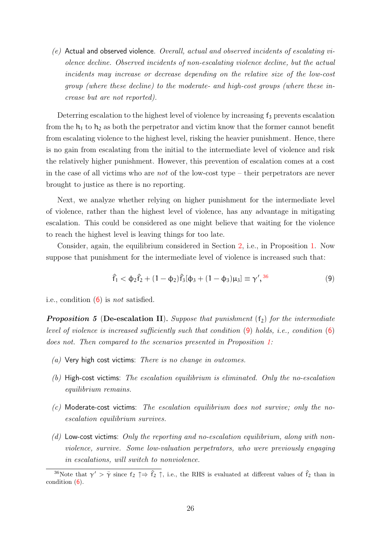$(e)$  Actual and observed violence. Overall, actual and observed incidents of escalating violence decline. Observed incidents of non-escalating violence decline, but the actual incidents may increase or decrease depending on the relative size of the low-cost group (where these decline) to the moderate- and high-cost groups (where these increase but are not reported).

Deterring escalation to the highest level of violence by increasing  $f_3$  prevents escalation from the  $h_1$  to  $h_2$  as both the perpetrator and victim know that the former cannot benefit from escalating violence to the highest level, risking the heavier punishment. Hence, there is no gain from escalating from the initial to the intermediate level of violence and risk the relatively higher punishment. However, this prevention of escalation comes at a cost in the case of all victims who are *not* of the low-cost type – their perpetrators are never brought to justice as there is no reporting.

Next, we analyze whether relying on higher punishment for the intermediate level of violence, rather than the highest level of violence, has any advantage in mitigating escalation. This could be considered as one might believe that waiting for the violence to reach the highest level is leaving things for too late.

Consider, again, the equilibrium considered in Section [2,](#page-7-0) i.e., in Proposition [1.](#page-18-0) Now suppose that punishment for the intermediate level of violence is increased such that:

<span id="page-26-1"></span>
$$
\hat{f}_1 < \Phi_2 \hat{f}_2 + (1 - \Phi_2) \hat{f}_3 [\Phi_3 + (1 - \Phi_3) \mu_3] \equiv \gamma',^{36} \tag{9}
$$

<span id="page-26-0"></span>i.e., condition  $(6)$  $(6)$  $(6)$  is *not* satisfied.

**Proposition 5** (De-escalation II). Suppose that punishment  $(f_2)$  for the intermediate level of violence is increased sufficiently such that condition  $(9)$  $(9)$  $(9)$  holds, i.e., condition  $(6)$  $(6)$  $(6)$ does not. Then compared to the scenarios presented in Proposition [1:](#page-18-0)

- $(a)$  Very high cost victims: There is no change in outcomes.
- (b) High-cost victims: The escalation equilibrium is eliminated. Only the no-escalation equilibrium remains.
- $(c)$  Moderate-cost victims: The escalation equilibrium does not survive; only the noescalation equilibrium survives.
- (d) Low-cost victims: Only the reporting and no-escalation equilibrium, along with nonviolence, survive. Some low-valuation perpetrators, who were previously engaging in escalations, will switch to nonviolence.

<sup>&</sup>lt;sup>36</sup>Note that  $\gamma' > \bar{\gamma}$  since  $f_2 \uparrow \Rightarrow \hat{f}_2 \uparrow$ , i.e., the RHS is evaluated at different values of  $\hat{f}_2$  than in condition ([6](#page-13-2)).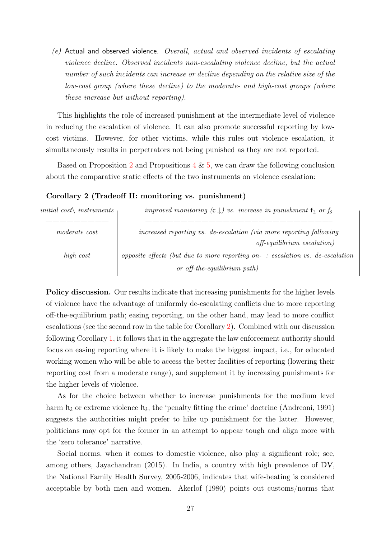(e) Actual and observed violence. Overall, actual and observed incidents of escalating violence decline. Observed incidents non-escalating violence decline, but the actual number of such incidents can increase or decline depending on the relative size of the low-cost group (where these decline) to the moderate- and high-cost groups (where these increase but without reporting).

This highlights the role of increased punishment at the intermediate level of violence in reducing the escalation of violence. It can also promote successful reporting by lowcost victims. However, for other victims, while this rules out violence escalation, it simultaneously results in perpetrators not being punished as they are not reported.

Based on Proposition [2](#page-21-0) and Propositions  $4 \& 5$  $4 \& 5$ , we can draw the following conclusion about the comparative static effects of the two instruments on violence escalation:

| <i>initial</i> $cost\backslash$ <i>instruments</i> | improved monitoring $(c \downarrow)$ vs. increase in punishment $f_2$ or $f_3$                                |
|----------------------------------------------------|---------------------------------------------------------------------------------------------------------------|
| moderate cost                                      | increased reporting vs. de-escalation (via more reporting following<br>$off\text{-}equilibrium\; escalation)$ |
| high cost                                          | opposite effects (but due to more reporting on-: escalation vs. de-escalation                                 |
|                                                    | or off-the-equilibrium path)                                                                                  |

<span id="page-27-0"></span>Corollary 2 (Tradeoff II: monitoring vs. punishment)

Policy discussion. Our results indicate that increasing punishments for the higher levels of violence have the advantage of uniformly de-escalating conflicts due to more reporting off-the-equilibrium path; easing reporting, on the other hand, may lead to more conflict escalations (see the second row in the table for Corollary [2\)](#page-27-0). Combined with our discussion following Corollary [1,](#page-23-0) it follows that in the aggregate the law enforcement authority should focus on easing reporting where it is likely to make the biggest impact, i.e., for educated working women who will be able to access the better facilities of reporting (lowering their reporting cost from a moderate range), and supplement it by increasing punishments for the higher levels of violence.

As for the choice between whether to increase punishments for the medium level harm  $h_2$  or extreme violence  $h_3$ , the 'penalty fitting the crime' doctrine (Andreoni, 1991) suggests the authorities might prefer to hike up punishment for the latter. However, politicians may opt for the former in an attempt to appear tough and align more with the 'zero tolerance' narrative.

Social norms, when it comes to domestic violence, also play a significant role; see, among others, Jayachandran (2015). In India, a country with high prevalence of DV, the National Family Health Survey, 2005-2006, indicates that wife-beating is considered acceptable by both men and women. Akerlof (1980) points out customs/norms that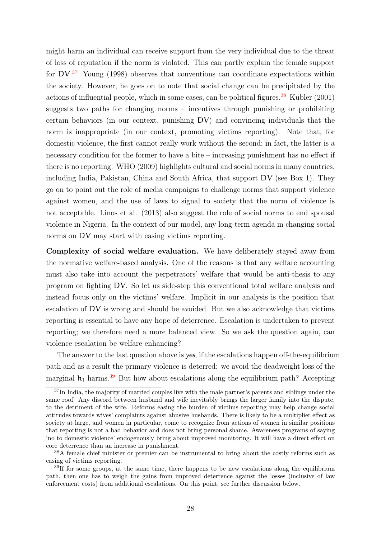might harm an individual can receive support from the very individual due to the threat of loss of reputation if the norm is violated. This can partly explain the female support for DV.<sup>[37](#page-0-0)</sup> Young (1998) observes that conventions can coordinate expectations within the society. However, he goes on to note that social change can be precipitated by the actions of influential people, which in some cases, can be political figures.<sup>[38](#page-0-0)</sup> Kubler  $(2001)$ suggests two paths for changing norms – incentives through punishing or prohibiting certain behaviors (in our context, punishing DV) and convincing individuals that the norm is inappropriate (in our context, promoting victims reporting). Note that, for domestic violence, the first cannot really work without the second; in fact, the latter is a necessary condition for the former to have a bite – increasing punishment has no effect if there is no reporting. WHO (2009) highlights cultural and social norms in many countries, including India, Pakistan, China and South Africa, that support DV (see Box 1). They go on to point out the role of media campaigns to challenge norms that support violence against women, and the use of laws to signal to society that the norm of violence is not acceptable. Linos et al. (2013) also suggest the role of social norms to end spousal violence in Nigeria. In the context of our model, any long-term agenda in changing social norms on DV may start with easing victims reporting.

Complexity of social welfare evaluation. We have deliberately stayed away from the normative welfare-based analysis. One of the reasons is that any welfare accounting must also take into account the perpetrators' welfare that would be anti-thesis to any program on fighting DV. So let us side-step this conventional total welfare analysis and instead focus only on the victims' welfare. Implicit in our analysis is the position that escalation of DV is wrong and should be avoided. But we also acknowledge that victims reporting is essential to have any hope of deterrence. Escalation is undertaken to prevent reporting; we therefore need a more balanced view. So we ask the question again, can violence escalation be welfare-enhancing?

The answer to the last question above is yes, if the escalations happen of t-the-equilibrium path and as a result the primary violence is deterred: we avoid the deadweight loss of the marginal  $h_1$  harms.<sup>[39](#page-0-0)</sup> But how about escalations along the equilibrium path? Accepting

<sup>&</sup>lt;sup>37</sup>In India, the majority of married couples live with the male partner's parents and siblings under the same roof. Any discord between husband and wife inevitably brings the larger family into the dispute, to the detriment of the wife. Reforms easing the burden of victims reporting may help change social attitudes towards wives' complaints against abusive husbands. There is likely to be a multiplier effect as society at large, and women in particular, come to recognize from actions of women in similar positions that reporting is not a bad behavior and does not bring personal shame. Awareness programs of saying 'no to domestic violence' endogenously bring about improved monitoring. It will have a direct effect on core deterrence than an increase in punishment.

<sup>38</sup>A female chief minister or premier can be instrumental to bring about the costly reforms such as easing of victims reporting.

<sup>&</sup>lt;sup>39</sup>If for some groups, at the same time, there happens to be new escalations along the equilibrium path, then one has to weigh the gains from improved deterrence against the losses (inclusive of law enforcement costs) from additional escalations. On this point, see further discussion below.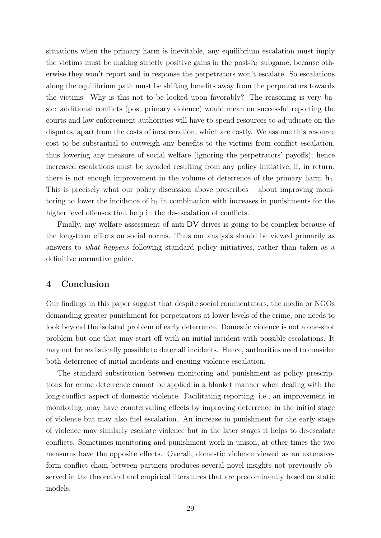situations when the primary harm is inevitable, any equilibrium escalation must imply the victims must be making strictly positive gains in the post- $h_1$  subgame, because otherwise they won't report and in response the perpetrators won't escalate. So escalations along the equilibrium path must be shifting benefits away from the perpetrators towards the victims. Why is this not to be looked upon favorably? The reasoning is very basic: additional conflicts (post primary violence) would mean on successful reporting the courts and law enforcement authorities will have to spend resources to adjudicate on the disputes, apart from the costs of incarceration, which are costly. We assume this resource cost to be substantial to outweigh any benefits to the victims from conflict escalation, thus lowering any measure of social welfare (ignoring the perpetrators' payoffs); hence increased escalations must be avoided resulting from any policy initiative, if, in return, there is not enough improvement in the volume of deterrence of the primary harm  $h_1$ . This is precisely what our policy discussion above prescribes – about improving monitoring to lower the incidence of  $h_1$  in combination with increases in punishments for the higher level offenses that help in the de-escalation of conflicts.

Finally, any welfare assessment of anti-DV drives is going to be complex because of the long-term effects on social norms. Thus our analysis should be viewed primarily as answers to what happens following standard policy initiatives, rather than taken as a definitive normative guide.

## 4 Conclusion

Our findings in this paper suggest that despite social commentators, the media or NGOs demanding greater punishment for perpetrators at lower levels of the crime, one needs to look beyond the isolated problem of early deterrence. Domestic violence is not a one-shot problem but one that may start off with an initial incident with possible escalations. It may not be realistically possible to deter all incidents. Hence, authorities need to consider both deterrence of initial incidents and ensuing violence escalation.

The standard substitution between monitoring and punishment as policy prescriptions for crime deterrence cannot be applied in a blanket manner when dealing with the long-conflict aspect of domestic violence. Facilitating reporting, i.e., an improvement in monitoring, may have countervailing effects by improving deterrence in the initial stage of violence but may also fuel escalation. An increase in punishment for the early stage of violence may similarly escalate violence but in the later stages it helps to de-escalate conflicts. Sometimes monitoring and punishment work in unison, at other times the two measures have the opposite effects. Overall, domestic violence viewed as an extensiveform conflict chain between partners produces several novel insights not previously observed in the theoretical and empirical literatures that are predominantly based on static models.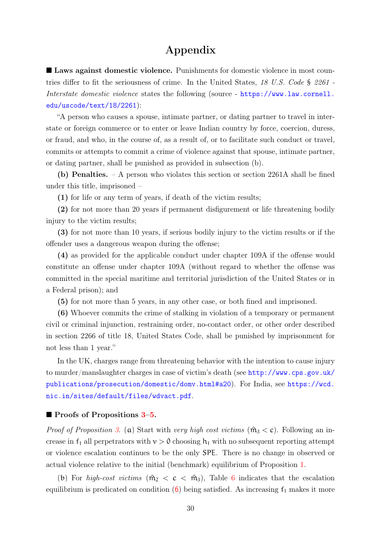## Appendix

■ Laws against domestic violence. Punishments for domestic violence in most countries differ to fit the seriousness of crime. In the United States, 18 U.S. Code § 2261 - Interstate domestic violence states the following (source - [https://www.law.cornell.](https://www.law.cornell.edu/uscode/text/18/2261) [edu/uscode/text/18/2261](https://www.law.cornell.edu/uscode/text/18/2261)):

"A person who causes a spouse, intimate partner, or dating partner to travel in interstate or foreign commerce or to enter or leave Indian country by force, coercion, duress, or fraud, and who, in the course of, as a result of, or to facilitate such conduct or travel, commits or attempts to commit a crime of violence against that spouse, intimate partner, or dating partner, shall be punished as provided in subsection (b).

(b) Penalties. – A person who violates this section or section 2261A shall be fined under this title, imprisoned –

(1) for life or any term of years, if death of the victim results;

(2) for not more than 20 years if permanent disfigurement or life threatening bodily injury to the victim results;

(3) for not more than 10 years, if serious bodily injury to the victim results or if the offender uses a dangerous weapon during the offense;

(4) as provided for the applicable conduct under chapter 109A if the offense would constitute an offense under chapter 109A (without regard to whether the offense was committed in the special maritime and territorial jurisdiction of the United States or in a Federal prison); and

(5) for not more than 5 years, in any other case, or both fined and imprisoned.

(6) Whoever commits the crime of stalking in violation of a temporary or permanent civil or criminal injunction, restraining order, no-contact order, or other order described in section 2266 of title 18, United States Code, shall be punished by imprisonment for not less than 1 year."

In the UK, charges range from threatening behavior with the intention to cause injury to murder/manslaughter charges in case of victim's death (see [http://www.cps.gov.uk/](http://www.cps.gov.uk/publications/prosecution/domestic/domv.html#a20) [publications/prosecution/domestic/domv.html#a20](http://www.cps.gov.uk/publications/prosecution/domestic/domv.html#a20)). For India, see [https://wcd.](https://wcd.nic.in/sites/default/files/wdvact.pdf) [nic.in/sites/default/files/wdvact.pdf](https://wcd.nic.in/sites/default/files/wdvact.pdf).

#### ■ Proofs of Propositions [3–](#page-22-0)[5.](#page-26-0)

*Proof of Proposition [3](#page-22-0).* (a) Start with very high cost victims  $(\hat{m}_3 < c)$ . Following an increase in  $f_1$  all perpetrators with  $v > 0$  choosing  $h_1$  with no subsequent reporting attempt or violence escalation continues to be the only SPE. There is no change in observed or actual violence relative to the initial (benchmark) equilibrium of Proposition [1.](#page-18-0)

(b) For high-cost victims  $(\hat{m}_2 < c < \hat{m}_3)$ , Table [6](#page-17-0) indicates that the escalation equilibrium is predicated on condition  $(6)$  $(6)$  $(6)$  being satisfied. As increasing  $f_1$  makes it more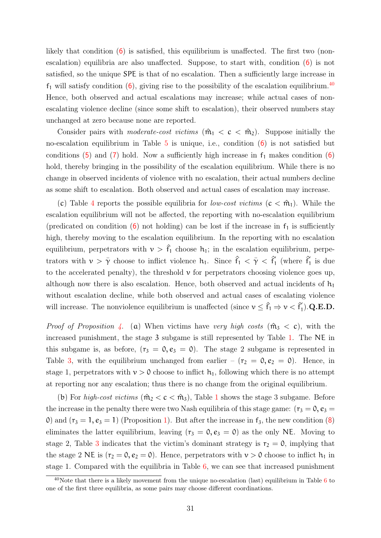likely that condition  $(6)$  $(6)$  $(6)$  is satisfied, this equilibrium is unaffected. The first two (nonescalation) equilibria are also unaffected. Suppose, to start with, condition  $(6)$  $(6)$  $(6)$  is not satisfied, so the unique SPE is that of no escalation. Then a sufficiently large increase in  $f_1$  will satisfy condition ([6](#page-13-2)), giving rise to the possibility of the escalation equilibrium.<sup>[40](#page-0-0)</sup> Hence, both observed and actual escalations may increase; while actual cases of nonescalating violence decline (since some shift to escalation), their observed numbers stay unchanged at zero because none are reported.

Consider pairs with *moderate-cost victims*  $(\hat{m}_1 < c < \hat{m}_2)$ . Suppose initially the no-escalation equilibrium in Table  $5$  is unique, i.e., condition  $(6)$  $(6)$  $(6)$  is not satisfied but conditions  $(5)$  $(5)$  $(5)$  and  $(7)$  $(7)$  $(7)$  hold. Now a sufficiently high increase in  $f_1$  makes condition  $(6)$  $(6)$  $(6)$ hold, thereby bringing in the possibility of the escalation equilibrium. While there is no change in observed incidents of violence with no escalation, their actual numbers decline as some shift to escalation. Both observed and actual cases of escalation may increase.

(c) Table [4](#page-14-0) reports the possible equilibria for *low-cost victims*  $(c < \hat{m}_1)$ . While the escalation equilibrium will not be affected, the reporting with no-escalation equilibrium (predicated on condition  $(6)$  $(6)$  $(6)$  not holding) can be lost if the increase in  $f_1$  is sufficiently high, thereby moving to the escalation equilibrium. In the reporting with no escalation equilibrium, perpetrators with  $v > \hat{f}_1$  choose  $h_1$ ; in the escalation equilibrium, perpetrators with  $\nu > \bar{\gamma}$  choose to inflict violence  $h_1$ . Since  $\hat{f}_1 < \bar{\gamma} < \hat{f}_1^{\prime}$  $\int_{1}^{\infty}$  (where  $\hat{f}^{\prime}_{1}$  $\frac{1}{1}$  is due to the accelerated penalty), the threshold  $\nu$  for perpetrators choosing violence goes up, although now there is also escalation. Hence, both observed and actual incidents of  $h_1$ without escalation decline, while both observed and actual cases of escalating violence will increase. The nonviolence equilibrium is unaffected (since  $v \leq \hat{f}_1 \Rightarrow v < \hat{f}_1^{\dagger}$ )  $_{1}^{\prime}).$ Q.E.D.

*Proof of Proposition [4](#page-25-0).* (a) When victims have very high costs  $(\hat{m}_3 < c)$ , with the increased punishment, the stage 3 subgame is still represented by Table [1.](#page-11-1) The NE in this subgame is, as before,  $(r_3 = 0, e_3 = 0)$ . The stage 2 subgame is represented in Table [3,](#page-12-2) with the equilibrium unchanged from earlier –  $(r_2 = 0, e_2 = 0)$ . Hence, in stage 1, perpetrators with  $v > 0$  choose to inflict  $h_1$ , following which there is no attempt at reporting nor any escalation; thus there is no change from the original equilibrium.

(b) For high-cost victims  $(\hat{m}_2 < c < \hat{m}_3)$ , Table [1](#page-11-1) shows the stage 3 subgame. Before the increase in the penalty there were two Nash equilibria of this stage game:  $(r_3 = 0, e_3 =$ 0) and  $(r_3 = 1, e_3 = 1)$  $(r_3 = 1, e_3 = 1)$  (Proposition 1). But after the increase in  $f_3$ , the new condition ([8](#page-25-1)) eliminates the latter equilibrium, leaving  $(r_3 = 0, e_3 = 0)$  as the only NE. Moving to stage 2, Table [3](#page-12-2) indicates that the victim's dominant strategy is  $r_2 = 0$ , implying that the stage 2 NE is  $(r_2 = 0, e_2 = 0)$ . Hence, perpetrators with  $v > 0$  choose to inflict  $h_1$  in stage 1. Compared with the equilibria in Table [6,](#page-17-0) we can see that increased punishment

 $40$ Note that there is a likely movement from the unique no-escalation (last) equilibrium in Table [6](#page-17-0) to one of the first three equilibria, as some pairs may choose different coordinations.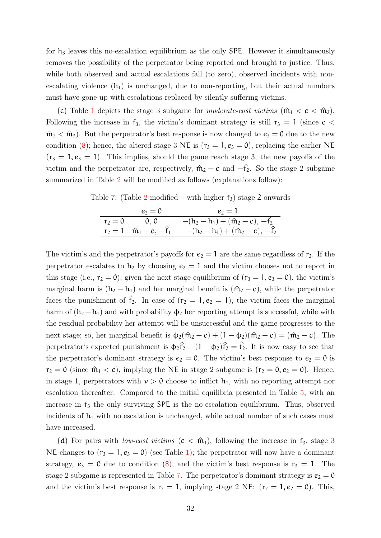for  $h_3$  leaves this no-escalation equilibrium as the only SPE. However it simultaneously removes the possibility of the perpetrator being reported and brought to justice. Thus, while both observed and actual escalations fall (to zero), observed incidents with nonescalating violence  $(h_1)$  is unchanged, due to non-reporting, but their actual numbers must have gone up with escalations replaced by silently suffering victims.

(c) Table [1](#page-11-1) depicts the stage 3 subgame for moderate-cost victims  $(\hat{m}_1 < c < \hat{m}_2)$ . Following the increase in  $f_3$ , the victim's dominant strategy is still  $r_3 = 1$  (since  $c <$  $\hat{m}_2 < \hat{m}_3$ ). But the perpetrator's best response is now changed to  $e_3 = 0$  due to the new condition ([8](#page-25-1)); hence, the altered stage 3 NE is  $(r_3 = 1, e_3 = 0)$ , replacing the earlier NE  $(r_3 = 1, e_3 = 1)$ . This implies, should the game reach stage 3, the new payoffs of the victim and the perpetrator are, respectively,  $\hat{m}_2 - c$  and  $-\hat{f}_2$ . So the stage 2 subgame summarized in Table [2](#page-12-0) will be modified as follows (explanations follow):

<span id="page-32-0"></span>Table 7: (Table [2](#page-12-0) modified – with higher  $f_3$ ) stage 2 onwards

|         | $e_2=0$                               | $e_2=1$                                      |
|---------|---------------------------------------|----------------------------------------------|
| $r_2=0$ | 0, 0                                  | $-(h_2 - h_1) + (\hat{m}_2 - c), -\hat{f}_2$ |
|         | $r_2 = 1   \hat{m}_1 - c, -\hat{f}_1$ | $-(h_2 - h_1) + (\hat{m}_2 - c), -\hat{f}_2$ |

The victim's and the perpetrator's payoffs for  $e_2 = 1$  are the same regardless of  $r_2$ . If the perpetrator escalates to  $h_2$  by choosing  $e_2 = 1$  and the victim chooses not to report in this stage (i.e.,  $r_2 = 0$ ), given the next stage equilibrium of  $(r_3 = 1, e_3 = 0)$ , the victim's marginal harm is  $(h_2 - h_1)$  and her marginal benefit is  $(\hat{m}_2 - c)$ , while the perpetrator faces the punishment of  $\hat{f}_2$ . In case of  $(r_2 = 1, e_2 = 1)$ , the victim faces the marginal harm of  $(h_2 - h_1)$  and with probability  $\phi_2$  her reporting attempt is successful, while with the residual probability her attempt will be unsuccessful and the game progresses to the next stage; so, her marginal benefit is  $\phi_2(\hat{m}_2 - c) + (1 - \phi_2)(\hat{m}_2 - c) = (\hat{m}_2 - c)$ . The perpetrator's expected punishment is  $\phi_2 \hat{f}_2 + (1 - \phi_2)\hat{f}_2 = \hat{f}_2$ . It is now easy to see that the perpetrator's dominant strategy is  $e_2 = 0$ . The victim's best response to  $e_2 = 0$  is  $r_2 = 0$  (since  $\hat{m}_1 < c$ ), implying the NE in stage 2 subgame is  $(r_2 = 0, e_2 = 0)$ . Hence, in stage 1, perpetrators with  $v > 0$  choose to inflict  $h_1$ , with no reporting attempt nor escalation thereafter. Compared to the initial equilibria presented in Table [5,](#page-15-0) with an increase in  $f_3$  the only surviving SPE is the no-escalation equilibrium. Thus, observed incidents of  $h_1$  with no escalation is unchanged, while actual number of such cases must have increased.

(d) For pairs with *low-cost victims*  $(c < \hat{m}_1)$ , following the increase in f<sub>3</sub>, stage 3 NE changes to  $(r_3 = 1, e_3 = 0)$  (see Table [1\)](#page-11-1); the perpetrator will now have a dominant strategy,  $e_3 = 0$  due to condition ([8](#page-25-1)), and the victim's best response is  $r_3 = 1$ . The stage 2 subgame is represented in Table [7.](#page-32-0) The perpetrator's dominant strategy is  $e_2 = 0$ and the victim's best response is  $r_2 = 1$ , implying stage 2 NE:  $(r_2 = 1, e_2 = 0)$ . This,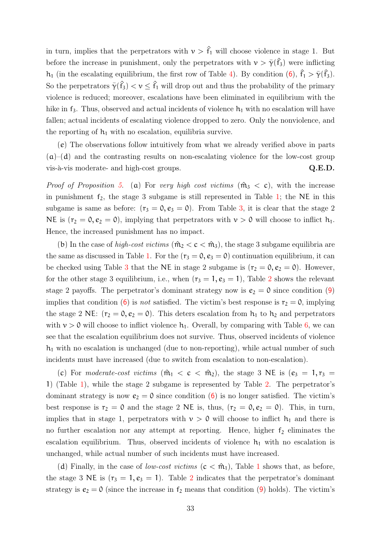in turn, implies that the perpetrators with  $v > \hat{f}_1$  will choose violence in stage 1. But before the increase in punishment, only the perpetrators with  $\nu > \bar{\gamma}(\hat{f}_3)$  were inflicting h<sub>1</sub> (in the escalating equilibrium, the first row of Table [4\)](#page-14-0). By condition  $(6)$  $(6)$  $(6)$ ,  $\hat{f}_1 > \bar{\gamma}(\hat{f}_3)$ . So the perpetrators  $\bar{\gamma}(\hat{f}_3) < v \leq \hat{f}_1$  will drop out and thus the probability of the primary violence is reduced; moreover, escalations have been eliminated in equilibrium with the hike in  $f_3$ . Thus, observed and actual incidents of violence  $h_1$  with no escalation will have fallen; actual incidents of escalating violence dropped to zero. Only the nonviolence, and the reporting of  $h_1$  with no escalation, equilibria survive.

(e) The observations follow intuitively from what we already verified above in parts  $(a)$ – $(d)$  and the contrasting results on non-escalating violence for the low-cost group vis-à-vis moderate- and high-cost groups.  $Q.E.D.$ 

*Proof of Proposition [5](#page-26-0).* (a) For very high cost victims  $(\hat{m}_3 < c)$ , with the increase in punishment  $f_2$ , the stage 3 subgame is still represented in Table [1;](#page-11-1) the NE in this subgame is same as before:  $(r_3 = 0, e_3 = 0)$ . From Table [3,](#page-12-2) it is clear that the stage 2 NE is  $(r_2 = 0, e_2 = 0)$ , implying that perpetrators with  $v > 0$  will choose to inflict  $h_1$ . Hence, the increased punishment has no impact.

(b) In the case of *high-cost victims*  $(\hat{m}_2 < c < \hat{m}_3)$ , the stage 3 subgame equilibria are the same as discussed in Table [1.](#page-11-1) For the  $(r_3 = 0, e_3 = 0)$  continuation equilibrium, it can be checked using Table [3](#page-12-2) that the NE in stage 2 subgame is  $(r_2 = 0, e_2 = 0)$ . However, for the other stage 3 equilibrium, i.e., when  $(r_3 = 1, e_3 = 1)$ , Table [2](#page-12-0) shows the relevant stage 2 payoffs. The perpetrator's dominant strategy now is  $e_2 = 0$  since condition ([9](#page-26-1)) implies that condition ([6](#page-13-2)) is *not* satisfied. The victim's best response is  $r_2 = 0$ , implying the stage 2 NE:  $(r_2 = 0, e_2 = 0)$ . This deters escalation from  $h_1$  to  $h_2$  and perpetrators with  $v > 0$  will choose to inflict violence  $h_1$ . Overall, by comparing with Table [6,](#page-17-0) we can see that the escalation equilibrium does not survive. Thus, observed incidents of violence  $h_1$  with no escalation is unchanged (due to non-reporting), while actual number of such incidents must have increased (due to switch from escalation to non-escalation).

(c) For moderate-cost victims  $(\hat{m}_1 < c < \hat{m}_2)$ , the stage 3 NE is  $(e_3 = 1, r_3 =$ 1) (Table [1\)](#page-11-1), while the stage 2 subgame is represented by Table [2.](#page-12-0) The perpetrator's dominant strategy is now  $e_2 = 0$  since condition ([6](#page-13-2)) is no longer satisfied. The victim's best response is  $r_2 = 0$  and the stage 2 NE is, thus,  $(r_2 = 0, e_2 = 0)$ . This, in turn, implies that in stage 1, perpetrators with  $\nu > 0$  will choose to inflict  $h_1$  and there is no further escalation nor any attempt at reporting. Hence, higher  $f_2$  eliminates the escalation equilibrium. Thus, observed incidents of violence  $h_1$  with no escalation is unchanged, while actual number of such incidents must have increased.

(d) Finally, in the case of *low-cost victims*  $(c < \hat{m}_1)$  $(c < \hat{m}_1)$  $(c < \hat{m}_1)$ , Table 1 shows that, as before, the stage 3 NE is  $(r_3 = 1, e_3 = 1)$ . Table [2](#page-12-0) indicates that the perpetrator's dominant strategy is  $e_2 = 0$  (since the increase in  $f_2$  means that condition ([9](#page-26-1)) holds). The victim's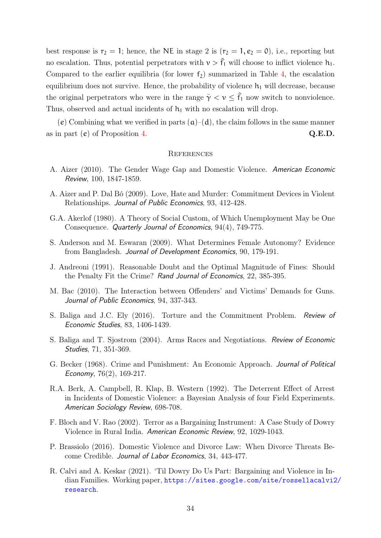best response is  $r_2 = 1$ ; hence, the NE in stage 2 is  $(r_2 = 1, e_2 = 0)$ , i.e., reporting but no escalation. Thus, potential perpetrators with  $v > \hat{f}_1$  will choose to inflict violence  $h_1$ . Compared to the earlier equilibria (for lower  $f_2$ ) summarized in Table [4,](#page-14-0) the escalation equilibrium does not survive. Hence, the probability of violence  $h_1$  will decrease, because the original perpetrators who were in the range  $\bar{\gamma} < \nu \leq \hat{f}_1$  now switch to nonviolence. Thus, observed and actual incidents of  $h_1$  with no escalation will drop.

(e) Combining what we verified in parts  $(a)$ –(d), the claim follows in the same manner as in part  $(e)$  of Proposition [4.](#page-25-0)  $Q.E.D.$ 

#### **REFERENCES**

- A. Aizer (2010). The Gender Wage Gap and Domestic Violence. American Economic Review, 100, 1847-1859.
- A. Aizer and P. Dal Bó (2009). Love, Hate and Murder: Commitment Devices in Violent Relationships. Journal of Public Economics, 93, 412-428.
- G.A. Akerlof (1980). A Theory of Social Custom, of Which Unemployment May be One Consequence. Quarterly Journal of Economics, 94(4), 749-775.
- S. Anderson and M. Eswaran (2009). What Determines Female Autonomy? Evidence from Bangladesh. Journal of Development Economics, 90, 179-191.
- J. Andreoni (1991). Reasonable Doubt and the Optimal Magnitude of Fines: Should the Penalty Fit the Crime? Rand Journal of Economics, 22, 385-395.
- M. Bac (2010). The Interaction between Offenders' and Victims' Demands for Guns. Journal of Public Economics, 94, 337-343.
- S. Baliga and J.C. Ely (2016). Torture and the Commitment Problem. Review of Economic Studies, 83, 1406-1439.
- S. Baliga and T. Sjostrom (2004). Arms Races and Negotiations. Review of Economic Studies, 71, 351-369.
- G. Becker (1968). Crime and Punishment: An Economic Approach. Journal of Political Economy, 76(2), 169-217.
- R.A. Berk, A. Campbell, R. Klap, B. Western (1992). The Deterrent Effect of Arrest in Incidents of Domestic Violence: a Bayesian Analysis of four Field Experiments. American Sociology Review, 698-708.
- F. Bloch and V. Rao (2002). Terror as a Bargaining Instrument: A Case Study of Dowry Violence in Rural India. American Economic Review, 92, 1029-1043.
- P. Brassiolo (2016). Domestic Violence and Divorce Law: When Divorce Threats Become Credible. Journal of Labor Economics, 34, 443-477.
- R. Calvi and A. Keskar (2021). 'Til Dowry Do Us Part: Bargaining and Violence in Indian Families. Working paper, [https://sites.google.com/site/rossellacalvi2](https://sites.google.com/site/rossellacalvi2/research)/ [research](https://sites.google.com/site/rossellacalvi2/research).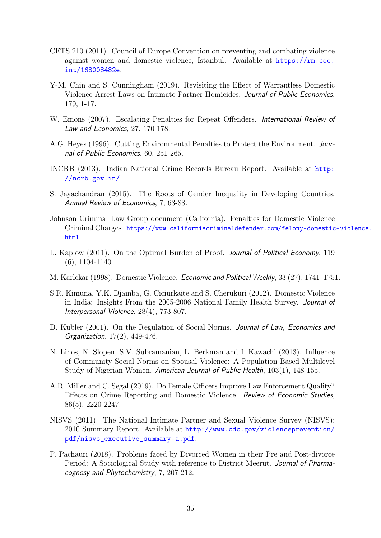- CETS 210 (2011). Council of Europe Convention on preventing and combating violence against women and domestic violence, Istanbul. Available at [https://rm.coe.](https://rm.coe.int/168008482e) [int/168008482e](https://rm.coe.int/168008482e).
- Y-M. Chin and S. Cunningham (2019). Revisiting the Effect of Warrantless Domestic Violence Arrest Laws on Intimate Partner Homicides. Journal of Public Economics, 179, 1-17.
- W. Emons (2007). Escalating Penalties for Repeat Offenders. International Review of Law and Economics, 27, 170-178.
- A.G. Heyes (1996). Cutting Environmental Penalties to Protect the Environment. Journal of Public Economics, 60, 251-265.
- INCRB (2013). Indian National Crime Records Bureau Report. Available at [http:](http://ncrb.gov.in/) [//ncrb.gov.in/](http://ncrb.gov.in/).
- S. Jayachandran (2015). The Roots of Gender Inequality in Developing Countries. Annual Review of Economics, 7, 63-88.
- Johnson Criminal Law Group document (California). Penalties for Domestic Violence Criminal Charges. [https://www.californiacriminaldefender.com/felony-domestic](https://www.californiacriminaldefender.com/felony-domestic-violence.html)-violence. [html](https://www.californiacriminaldefender.com/felony-domestic-violence.html).
- L. Kaplow (2011). On the Optimal Burden of Proof. Journal of Political Economy, 119 (6), 1104-1140.
- M. Karlekar (1998). Domestic Violence. Economic and Political Weekly, 33 (27), 1741–1751.
- S.R. Kimuna, Y.K. Djamba, G. Ciciurkaite and S. Cherukuri (2012). Domestic Violence in India: Insights From the 2005-2006 National Family Health Survey. Journal of Interpersonal Violence, 28(4), 773-807.
- D. Kubler (2001). On the Regulation of Social Norms. Journal of Law, Economics and Organization, 17(2), 449-476.
- N. Linos, N. Slopen, S.V. Subramanian, L. Berkman and I. Kawachi (2013). Influence of Community Social Norms on Spousal Violence: A Population-Based Multilevel Study of Nigerian Women. American Journal of Public Health, 103(1), 148-155.
- A.R. Miller and C. Segal (2019). Do Female Officers Improve Law Enforcement Quality? Effects on Crime Reporting and Domestic Violence. Review of Economic Studies, 86(5), 2220-2247.
- NISVS (2011). The National Intimate Partner and Sexual Violence Survey (NISVS): 2010 Summary Report. Available at [http://www.cdc.gov/violenceprevention/](http://www.cdc.gov/violenceprevention/pdf/nisvs_executive_summary-a.pdf) [pdf/nisvs\\_executive\\_summary-a.pdf](http://www.cdc.gov/violenceprevention/pdf/nisvs_executive_summary-a.pdf).
- P. Pachauri (2018). Problems faced by Divorced Women in their Pre and Post-divorce Period: A Sociological Study with reference to District Meerut. Journal of Pharmacognosy and Phytochemistry, 7, 207-212.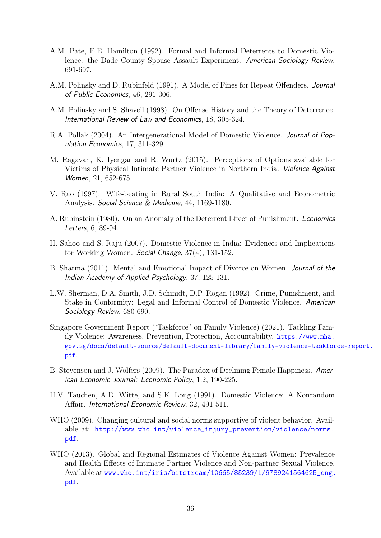- A.M. Pate, E.E. Hamilton (1992). Formal and Informal Deterrents to Domestic Violence: the Dade County Spouse Assault Experiment. American Sociology Review, 691-697.
- A.M. Polinsky and D. Rubinfeld (1991). A Model of Fines for Repeat Offenders. Journal of Public Economics, 46, 291-306.
- A.M. Polinsky and S. Shavell (1998). On Offense History and the Theory of Deterrence. International Review of Law and Economics, 18, 305-324.
- R.A. Pollak (2004). An Intergenerational Model of Domestic Violence. Journal of Population Economics, 17, 311-329.
- M. Ragavan, K. Iyengar and R. Wurtz (2015). Perceptions of Options available for Victims of Physical Intimate Partner Violence in Northern India. Violence Against Women, 21, 652-675.
- V. Rao (1997). Wife-beating in Rural South India: A Qualitative and Econometric Analysis. Social Science & Medicine, 44, 1169-1180.
- A. Rubinstein (1980). On an Anomaly of the Deterrent Effect of Punishment. Economics Letters, 6, 89-94.
- H. Sahoo and S. Raju (2007). Domestic Violence in India: Evidences and Implications for Working Women. Social Change, 37(4), 131-152.
- B. Sharma (2011). Mental and Emotional Impact of Divorce on Women. Journal of the Indian Academy of Applied Psychology, 37, 125-131.
- L.W. Sherman, D.A. Smith, J.D. Schmidt, D.P. Rogan (1992). Crime, Punishment, and Stake in Conformity: Legal and Informal Control of Domestic Violence. American Sociology Review, 680-690.
- Singapore Government Report ("Taskforce" on Family Violence) (2021). Tackling Family Violence: Awareness, Prevention, Protection, Accountability. [https://www.mha.](https://www.mha.gov.sg/docs/default-source/default-document-library/family-violence-taskforce-report.pdf) [gov.sg/docs/default-source/default-document-library/family-violence-taskfor](https://www.mha.gov.sg/docs/default-source/default-document-library/family-violence-taskforce-report.pdf)ce-report. [pdf](https://www.mha.gov.sg/docs/default-source/default-document-library/family-violence-taskforce-report.pdf).
- B. Stevenson and J. Wolfers (2009). The Paradox of Declining Female Happiness. American Economic Journal: Economic Policy, 1:2, 190-225.
- H.V. Tauchen, A.D. Witte, and S.K. Long (1991). Domestic Violence: A Nonrandom Affair. International Economic Review, 32, 491-511.
- WHO (2009). Changing cultural and social norms supportive of violent behavior. Available at: [http://www.who.int/violence\\_injury\\_prevention/violence/norms.](http://www.who.int/violence_injury_prevention/violence/norms.pdf) [pdf](http://www.who.int/violence_injury_prevention/violence/norms.pdf).
- WHO (2013). Global and Regional Estimates of Violence Against Women: Prevalence and Health Effects of Intimate Partner Violence and Non-partner Sexual Violence. Available at [www.who.int/iris/bitstream/10665/85239/1/9789241564625\\_eng.](www.who.int/iris/bitstream/10665/85239/1/9789241564625_eng.pdf) [pdf](www.who.int/iris/bitstream/10665/85239/1/9789241564625_eng.pdf).